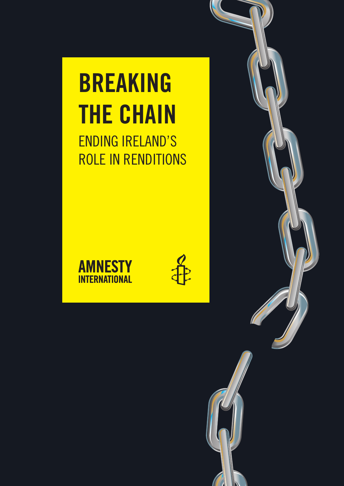# BREAKING THE CHAIN ENDING IRELAND'S

ROLE IN RENDITIONS





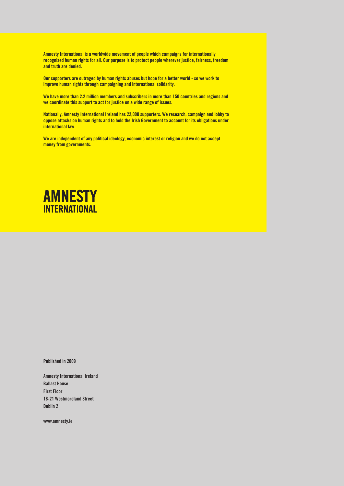Amnesty International is a worldwide movement of people which campaigns for internationally recognised human rights for all. Our purpose is to protect people wherever justice, fairness, freedom and truth are denied.

Our supporters are outraged by human rights abuses but hope for a better world - so we work to improve human rights through campaigning and international solidarity.

We have more than 2.2 million members and subscribers in more than 150 countries and regions and we coordinate this support to act for justice on a wide range of issues.

Nationally, Amnesty International Ireland has 22,000 supporters. We research, campaign and lobby to oppose attacks on human rights and to hold the Irish Government to account for its obligations under international law.

We are independent of any political ideology, economic interest or religion and we do not accept money from governments.



Published in 2009

Amnesty International Ireland Ballast House First Floor 18-21 Westmoreland Street Dublin 2

www.amnesty.ie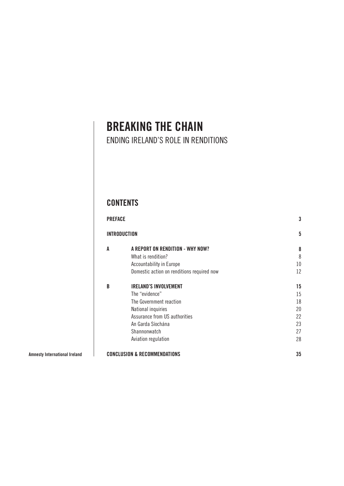## BREAKING THE CHAIN

ENDING IRELAND'S ROLE IN RENDITIONS

## **CONTENTS**

| <b>INTRODUCTION</b> |                                            | 5  |
|---------------------|--------------------------------------------|----|
|                     |                                            |    |
| A                   | A REPORT ON RENDITION - WHY NOW?           | 8  |
|                     | What is rendition?                         | 8  |
|                     | <b>Accountability in Europe</b>            | 10 |
|                     | Domestic action on renditions required now | 12 |
| B                   | <b>IRELAND'S INVOLVEMENT</b>               | 15 |
|                     | The "evidence"                             | 15 |
|                     | The Government reaction                    | 18 |
|                     | National inquiries                         | 20 |
|                     | Assurance from US authorities              | 22 |
|                     | An Garda Síochána                          | 23 |
|                     | Shannonwatch                               | 27 |
|                     | Aviation regulation                        | 28 |
|                     | <b>CONCLUSION &amp; RECOMMENDATIONS</b>    | 35 |

Amnesty International Ireland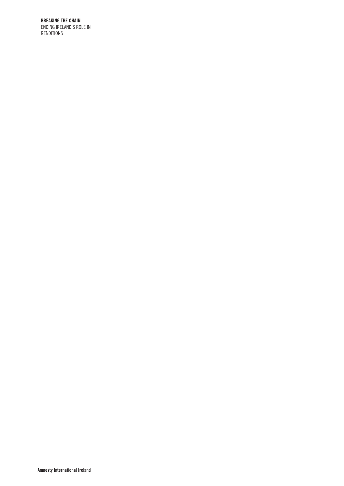BREAKING THE CHAIN ENDING IRELAND'S ROLE IN RENDITIONS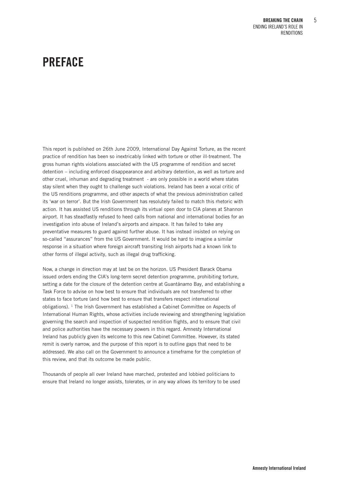5

## PREFACE

This report is published on 26th June 2009, International Day Against Torture, as the recent practice of rendition has been so inextricably linked with torture or other ill-treatment. The gross human rights violations associated with the US programme of rendition and secret detention – including enforced disappearance and arbitrary detention, as well as torture and other cruel, inhuman and degrading treatment - are only possible in a world where states stay silent when they ought to challenge such violations. Ireland has been a vocal critic of the US renditions programme, and other aspects of what the previous administration called its 'war on terror'. But the Irish Government has resolutely failed to match this rhetoric with action. It has assisted US renditions through its virtual open door to CIA planes at Shannon airport. It has steadfastly refused to heed calls from national and international bodies for an investigation into abuse of Ireland's airports and airspace. It has failed to take any preventative measures to guard against further abuse. It has instead insisted on relying on so-called "assurances" from the US Government. It would be hard to imagine a similar response in a situation where foreign aircraft transiting Irish airports had a known link to other forms of illegal activity, such as illegal drug trafficking.

Now, a change in direction may at last be on the horizon. US President Barack Obama issued orders ending the CIA's long-term secret detention programme, prohibiting torture, setting a date for the closure of the detention centre at Guantánamo Bay, and establishing a Task Force to advise on how best to ensure that individuals are not transferred to other states to face torture (and how best to ensure that transfers respect international obligations). <sup>1</sup> The Irish Government has established a Cabinet Committee on Aspects of International Human Rights, whose activities include reviewing and strengthening legislation governing the search and inspection of suspected rendition flights, and to ensure that civil and police authorities have the necessary powers in this regard. Amnesty International Ireland has publicly given its welcome to this new Cabinet Committee. However, its stated remit is overly narrow, and the purpose of this report is to outline gaps that need to be addressed. We also call on the Government to announce a timeframe for the completion of this review, and that its outcome be made public.

Thousands of people all over Ireland have marched, protested and lobbied politicians to ensure that Ireland no longer assists, tolerates, or in any way allows its territory to be used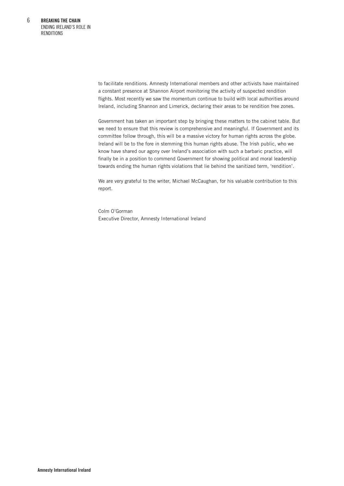to facilitate renditions. Amnesty International members and other activists have maintained a constant presence at Shannon Airport monitoring the activity of suspected rendition flights. Most recently we saw the momentum continue to build with local authorities around Ireland, including Shannon and Limerick, declaring their areas to be rendition free zones.

Government has taken an important step by bringing these matters to the cabinet table. But we need to ensure that this review is comprehensive and meaningful. If Government and its committee follow through, this will be a massive victory for human rights across the globe. Ireland will be to the fore in stemming this human rights abuse. The Irish public, who we know have shared our agony over Ireland's association with such a barbaric practice, will finally be in a position to commend Government for showing political and moral leadership towards ending the human rights violations that lie behind the sanitized term, 'rendition'.

We are very grateful to the writer, Michael McCaughan, for his valuable contribution to this report.

Colm O'Gorman Executive Director, Amnesty International Ireland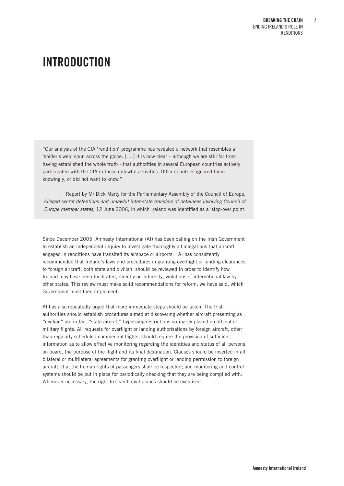## INTRODUCTION

"Our analysis of the CIA "rendition" programme has revealed a network that resembles a 'spider's web' spun across the globe. [….] It is now clear – although we are still far from having established the whole truth - that authorities in several European countries actively participated with the CIA in these unlawful activities. Other countries ignored them knowingly, or did not want to know."

Report by Mr Dick Marty for the Parliamentary Assembly of the Council of Europe, Alleged secret detentions and unlawful inter-state transfers of detainees involving Council of Europe member states, 12 June 2006, in which Ireland was identified as a 'stop-over point.

Since December 2005, Amnesty International (AI) has been calling on the Irish Government to establish an independent inquiry to investigate thoroughly all allegations that aircraft engaged in renditions have transited its airspace or airports. <sup>2</sup> AI has consistently recommended that Ireland's laws and procedures in granting overflight or landing clearances to foreign aircraft, both state and civilian, should be reviewed in order to identify how Ireland may have been facilitated, directly or indirectly, violations of international law by other states. This review must make solid recommendations for reform, we have said, which Government must then implement.

AI has also repeatedly urged that more immediate steps should be taken. The Irish authorities should establish procedures aimed at discovering whether aircraft presenting as "civilian" are in fact "state aircraft" bypassing restrictions ordinarily placed on official or military flights. All requests for overflight or landing authorisations by foreign aircraft, other than regularly scheduled commercial flights, should require the provision of sufficient information as to allow effective monitoring regarding the identities and status of all persons on board, the purpose of the flight and its final destination. Clauses should be inserted in all bilateral or multilateral agreements for granting overflight or landing permission to foreign aircraft, that the human rights of passengers shall be respected; and monitoring and control systems should be put in place for periodically checking that they are being complied with. Whenever necessary, the right to search civil planes should be exercised.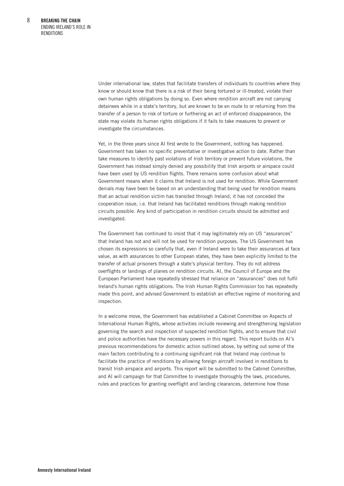Under international law, states that facilitate transfers of individuals to countries where they know or should know that there is a risk of their being tortured or ill-treated, violate their own human rights obligations by doing so. Even where rendition aircraft are not carrying detainees while in a state's territory, but are known to be en route to or returning from the transfer of a person to risk of torture or furthering an act of enforced disappearance, the state may violate its human rights obligations if it fails to take measures to prevent or investigate the circumstances.

Yet, in the three years since AI first wrote to the Government, nothing has happened. Government has taken no specific preventative or investigative action to date. Rather than take measures to identify past violations of Irish territory or prevent future violations, the Government has instead simply denied any possibility that Irish airports or airspace could have been used by US rendition flights. There remains some confusion about what Government means when it claims that Ireland is not used for rendition. While Government denials may have been be based on an understanding that being used for rendition means that an actual rendition victim has transited through Ireland, it has not conceded the cooperation issue, i.e. that Ireland has facilitated renditions through making rendition circuits possible. Any kind of participation in rendition circuits should be admitted and investigated.

The Government has continued to insist that it may legitimately rely on US "assurances" that Ireland has not and will not be used for rendition purposes. The US Government has chosen its expressions so carefully that, even if Ireland were to take their assurances at face value, as with assurances to other European states, they have been explicitly limited to the transfer of actual prisoners through a state's physical territory. They do not address overflights or landings of planes on rendition circuits. AI, the Council of Europe and the European Parliament have repeatedly stressed that reliance on "assurances" does not fulfil Ireland's human rights obligations. The Irish Human Rights Commission too has repeatedly made this point, and advised Government to establish an effective regime of monitoring and inspection.

In a welcome move, the Government has established a Cabinet Committee on Aspects of International Human Rights, whose activities include reviewing and strengthening legislation governing the search and inspection of suspected rendition flights, and to ensure that civil and police authorities have the necessary powers in this regard. This report builds on AI's previous recommendations for domestic action outlined above, by setting out some of the main factors contributing to a continuing significant risk that Ireland may continue to facilitate the practice of renditions by allowing foreign aircraft involved in renditions to transit Irish airspace and airports. This report will be submitted to the Cabinet Committee, and AI will campaign for that Committee to investigate thoroughly the laws, procedures, rules and practices for granting overflight and landing clearances, determine how those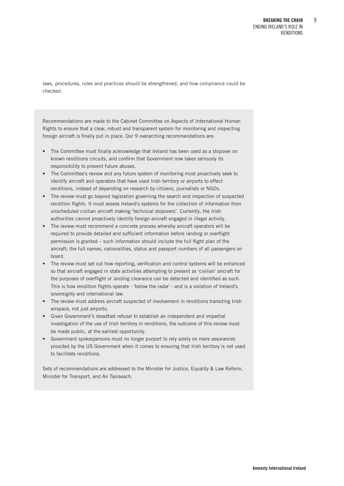laws, procedures, rules and practices should be strengthened, and how compliance could be checked.

Recommendations are made to the Cabinet Committee on Aspects of International Human Rights to ensure that a clear, robust and transparent system for monitoring and inspecting foreign aircraft is finally put in place. Our 9 overarching recommendations are:

- The Committee must finally acknowledge that Ireland has been used as a stopover on known renditions circuits, and confirm that Government now takes seriously its responsibility to prevent future abuses.
- The Committee's review and any future system of monitoring must proactively seek to identify aircraft and operators that have used Irish territory or airports to effect renditions, instead of depending on research by citizens, journalists or NGOs.
- The review must go beyond legislation governing the search and inspection of suspected rendition flights. It must assess Ireland's systems for the collection of information from unscheduled civilian aircraft making 'technical stopovers'. Currently, the Irish authorities cannot proactively identify foreign aircraft engaged in illegal activity.
- The review must recommend a concrete process whereby aircraft operators will be required to provide detailed and sufficient information before landing or overflight permission is granted – such information should include the full flight plan of the aircraft; the full names, nationalities, status and passport numbers of all passengers on board.
- The review must set out how reporting, verification and control systems will be enhanced so that aircraft engaged in state activities attempting to present as 'civilian' aircraft for the purposes of overflight or landing clearance can be detected and identified as such. This is how rendition flights operate - 'below the radar' - and is a violation of Ireland's sovereignty and international law.
- The review must address aircraft suspected of involvement in renditions transiting Irish airspace, not just airports.
- Given Government's steadfast refusal to establish an independent and impartial investigation of the use of Irish territory in renditions, the outcome of this review must be made public, at the earliest opportunity.
- Government spokespersons must no longer purport to rely solely on mere assurances provided by the US Government when it comes to ensuring that Irish territory is not used to facilitate renditions.

Sets of recommendations are addressed to the Minister for Justice, Equality & Law Reform, Minister for Transport, and An Taoiseach.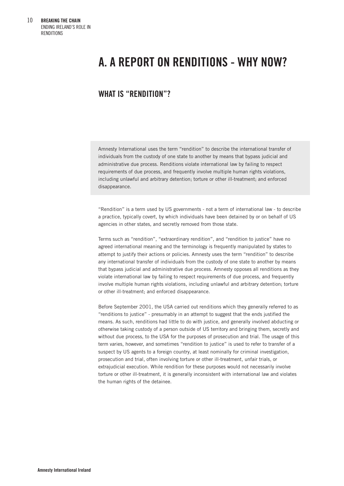## A. A REPORT ON RENDITIONS - WHY NOW?

## WHAT IS "RENDITION"?

Amnesty International uses the term "rendition" to describe the international transfer of individuals from the custody of one state to another by means that bypass judicial and administrative due process. Renditions violate international law by failing to respect requirements of due process, and frequently involve multiple human rights violations, including unlawful and arbitrary detention; torture or other ill-treatment; and enforced disappearance.

"Rendition" is a term used by US governments - not a term of international law - to describe a practice, typically covert, by which individuals have been detained by or on behalf of US agencies in other states, and secretly removed from those state.

Terms such as "rendition", "extraordinary rendition", and "rendition to justice" have no agreed international meaning and the terminology is frequently manipulated by states to attempt to justify their actions or policies. Amnesty uses the term "rendition" to describe any international transfer of individuals from the custody of one state to another by means that bypass judicial and administrative due process. Amnesty opposes all renditions as they violate international law by failing to respect requirements of due process, and frequently involve multiple human rights violations, including unlawful and arbitrary detention; torture or other ill-treatment; and enforced disappearance.

Before September 2001, the USA carried out renditions which they generally referred to as "renditions to justice" - presumably in an attempt to suggest that the ends justified the means. As such, renditions had little to do with justice, and generally involved abducting or otherwise taking custody of a person outside of US territory and bringing them, secretly and without due process, to the USA for the purposes of prosecution and trial. The usage of this term varies, however, and sometimes "rendition to justice" is used to refer to transfer of a suspect by US agents to a foreign country, at least nominally for criminal investigation, prosecution and trial, often involving torture or other ill-treatment, unfair trials, or extrajudicial execution. While rendition for these purposes would not necessarily involve torture or other ill-treatment, it is generally inconsistent with international law and violates the human rights of the detainee.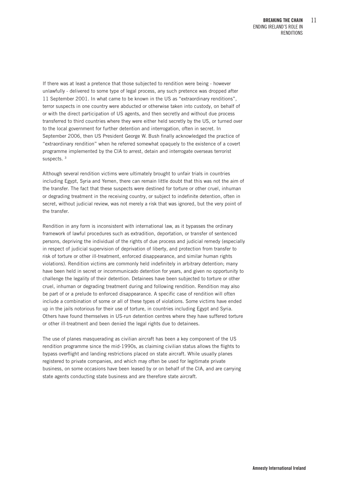If there was at least a pretence that those subjected to rendition were being - however unlawfully - delivered to some type of legal process, any such pretence was dropped after 11 September 2001. In what came to be known in the US as "extraordinary renditions", terror suspects in one country were abducted or otherwise taken into custody, on behalf of or with the direct participation of US agents, and then secretly and without due process transferred to third countries where they were either held secretly by the US, or turned over to the local government for further detention and interrogation, often in secret. In September 2006, then US President George W. Bush finally acknowledged the practice of "extraordinary rendition" when he referred somewhat opaquely to the existence of a covert programme implemented by the CIA to arrest, detain and interrogate overseas terrorist suspects.<sup>3</sup>

Although several rendition victims were ultimately brought to unfair trials in countries including Egypt, Syria and Yemen, there can remain little doubt that this was not the aim of the transfer. The fact that these suspects were destined for torture or other cruel, inhuman or degrading treatment in the receiving country, or subject to indefinite detention, often in secret, without judicial review, was not merely a risk that was ignored, but the very point of the transfer.

Rendition in any form is inconsistent with international law, as it bypasses the ordinary framework of lawful procedures such as extradition, deportation, or transfer of sentenced persons, depriving the individual of the rights of due process and judicial remedy (especially in respect of judicial supervision of deprivation of liberty, and protection from transfer to risk of torture or other ill-treatment, enforced disappearance, and similar human rights violations). Rendition victims are commonly held indefinitely in arbitrary detention; many have been held in secret or incommunicado detention for years, and given no opportunity to challenge the legality of their detention. Detainees have been subjected to torture or other cruel, inhuman or degrading treatment during and following rendition. Rendition may also be part of or a prelude to enforced disappearance. A specific case of rendition will often include a combination of some or all of these types of violations. Some victims have ended up in the jails notorious for their use of torture, in countries including Egypt and Syria. Others have found themselves in US-run detention centres where they have suffered torture or other ill-treatment and been denied the legal rights due to detainees.

The use of planes masquerading as civilian aircraft has been a key component of the US rendition programme since the mid-1990s, as claiming civilian status allows the flights to bypass overflight and landing restrictions placed on state aircraft. While usually planes registered to private companies, and which may often be used for legitimate private business, on some occasions have been leased by or on behalf of the CIA, and are carrying state agents conducting state business and are therefore state aircraft.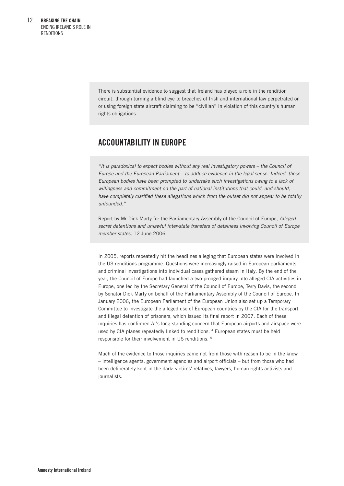There is substantial evidence to suggest that Ireland has played a role in the rendition circuit, through turning a blind eye to breaches of Irish and international law perpetrated on or using foreign state aircraft claiming to be "civilian" in violation of this country's human rights obligations.

## ACCOUNTABILITY IN EUROPE

"It is paradoxical to expect bodies without any real investigatory powers – the Council of Europe and the European Parliament – to adduce evidence in the legal sense. Indeed, these European bodies have been prompted to undertake such investigations owing to a lack of willingness and commitment on the part of national institutions that could, and should, have completely clarified these allegations which from the outset did not appear to be totally unfounded."

Report by Mr Dick Marty for the Parliamentary Assembly of the Council of Europe, Alleged secret detentions and unlawful inter-state transfers of detainees involving Council of Europe member states, 12 June 2006

In 2005, reports repeatedly hit the headlines alleging that European states were involved in the US renditions programme. Questions were increasingly raised in European parliaments, and criminal investigations into individual cases gathered steam in Italy. By the end of the year, the Council of Europe had launched a two-pronged inquiry into alleged CIA activities in Europe, one led by the Secretary General of the Council of Europe, Terry Davis, the second by Senator Dick Marty on behalf of the Parliamentary Assembly of the Council of Europe. In January 2006, the European Parliament of the European Union also set up a Temporary Committee to investigate the alleged use of European countries by the CIA for the transport and illegal detention of prisoners, which issued its final report in 2007. Each of these inquiries has confirmed AI's long-standing concern that European airports and airspace were used by CIA planes repeatedly linked to renditions. <sup>4</sup> European states must be held responsible for their involvement in US renditions. <sup>5</sup>

Much of the evidence to those inquiries came not from those with reason to be in the know – intelligence agents, government agencies and airport officials – but from those who had been deliberately kept in the dark: victims' relatives, lawyers, human rights activists and journalists.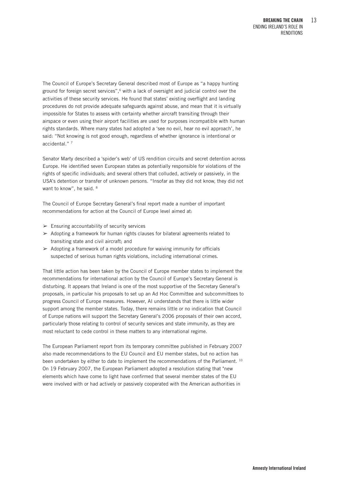The Council of Europe's Secretary General described most of Europe as "a happy hunting ground for foreign secret services", <sup>6</sup> with a lack of oversight and judicial control over the activities of these security services. He found that states' existing overflight and landing procedures do not provide adequate safeguards against abuse, and mean that it is virtually impossible for States to assess with certainty whether aircraft transiting through their airspace or even using their airport facilities are used for purposes incompatible with human rights standards. Where many states had adopted a 'see no evil, hear no evil approach', he said: "Not knowing is not good enough, regardless of whether ignorance is intentional or accidental." <sup>7</sup>

Senator Marty described a 'spider's web' of US rendition circuits and secret detention across Europe. He identified seven European states as potentially responsible for violations of the rights of specific individuals; and several others that colluded, actively or passively, in the USA's detention or transfer of unknown persons. "Insofar as they did not know, they did not want to know", he said. <sup>8</sup>

The Council of Europe Secretary General's final report made a number of important recommendations for action at the Council of Europe level aimed at:

- $\triangleright$  Ensuring accountability of security services
- $\triangleright$  Adopting a framework for human rights clauses for bilateral agreements related to transiting state and civil aircraft; and
- $\triangleright$  Adopting a framework of a model procedure for waiving immunity for officials suspected of serious human rights violations, including international crimes.

That little action has been taken by the Council of Europe member states to implement the recommendations for international action by the Council of Europe's Secretary General is disturbing. It appears that Ireland is one of the most supportive of the Secretary General's proposals, in particular his proposals to set up an Ad Hoc Committee and subcommittees to progress Council of Europe measures. However, AI understands that there is little wider support among the member states. Today, there remains little or no indication that Council of Europe nations will support the Secretary General's 2006 proposals of their own accord, particularly those relating to control of security services and state immunity, as they are most reluctant to cede control in these matters to any international regime.

The European Parliament report from its temporary committee published in February 2007 also made recommendations to the EU Council and EU member states, but no action has been undertaken by either to date to implement the recommendations of the Parliament. <sup>10</sup> On 19 February 2007, the European Parliament adopted a resolution stating that "new elements which have come to light have confirmed that several member states of the EU were involved with or had actively or passively cooperated with the American authorities in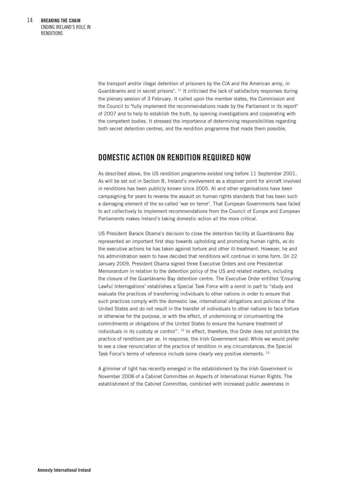the transport and/or illegal detention of prisoners by the CIA and the American army, in Guantánamo and in secret prisons". <sup>11</sup> It criticised the lack of satisfactory responses during the plenary session of 3 February. It called upon the member states, the Commission and the Council to "fully implement the recommendations made by the Parliament in its report" of 2007 and to help to establish the truth, by opening investigations and cooperating with the competent bodies. It stressed the importance of determining responsibilities regarding both secret detention centres, and the rendition programme that made them possible.

## DOMESTIC ACTION ON RENDITION REQUIRED NOW

As described above, the US rendition programme existed long before 11 September 2001. As will be set out in Section B, Ireland's involvement as a stopover point for aircraft involved in renditions has been publicly known since 2005. AI and other organisations have been campaigning for years to reverse the assault on human rights standards that has been such a damaging element of the so-called 'war on terror'. That European Governments have failed to act collectively to implement recommendations from the Council of Europe and European Parliaments makes Ireland's taking domestic action all the more critical.

US President Barack Obama's decision to close the detention facility at Guantánamo Bay represented an important first step towards upholding and promoting human rights, as do the executive actions he has taken against torture and other ill-treatment. However, he and his administration seem to have decided that renditions will continue in some form. On 22 January 2009, President Obama signed three Executive Orders and one Presidential Memorandum in relation to the detention policy of the US and related matters, including the closure of the Guantánamo Bay detention centre. The Executive Order entitled 'Ensuring Lawful Interrogations' establishes a Special Task Force with a remit in part to "study and evaluate the practices of transferring individuals to other nations in order to ensure that such practices comply with the domestic law, international obligations and policies of the United States and do not result in the transfer of individuals to other nations to face torture or otherwise for the purpose, or with the effect, of undermining or circumventing the commitments or obligations of the United States to ensure the humane treatment of individuals in its custody or control". <sup>12</sup> In effect, therefore, this Order does not prohibit the practice of renditions per se. In response, the Irish Government said: While we would prefer to see a clear renunciation of the practice of rendition in any circumstances, the Special Task Force's terms of reference include some clearly very positive elements. 13

A glimmer of light has recently emerged in the establishment by the Irish Government in November 2008 of a Cabinet Committee on Aspects of International Human Rights. The establishment of the Cabinet Committee, combined with increased public awareness in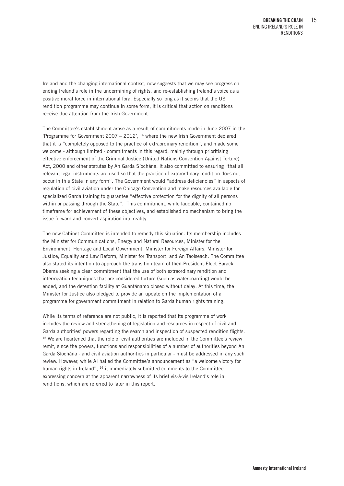Ireland and the changing international context, now suggests that we may see progress on ending Ireland's role in the undermining of rights, and re-establishing Ireland's voice as a positive moral force in international fora. Especially so long as it seems that the US rendition programme may continue in some form, it is critical that action on renditions receive due attention from the Irish Government.

The Committee's establishment arose as a result of commitments made in June 2007 in the 'Programme for Government  $2007 - 2012'$ , <sup>14</sup> where the new Irish Government declared that it is "completely opposed to the practice of extraordinary rendition", and made some welcome - although limited - commitments in this regard, mainly through prioritising effective enforcement of the Criminal Justice (United Nations Convention Against Torture) Act, 2000 and other statutes by An Garda Síochána. It also committed to ensuring "that all relevant legal instruments are used so that the practice of extraordinary rendition does not occur in this State in any form". The Government would "address deficiencies" in aspects of regulation of civil aviation under the Chicago Convention and make resources available for specialized Garda training to guarantee "effective protection for the dignity of all persons within or passing through the State". This commitment, while laudable, contained no timeframe for achievement of these objectives, and established no mechanism to bring the issue forward and convert aspiration into reality.

The new Cabinet Committee is intended to remedy this situation. Its membership includes the Minister for Communications, Energy and Natural Resources, Minister for the Environment, Heritage and Local Government, Minister for Foreign Affairs, Minister for Justice, Equality and Law Reform, Minister for Transport, and An Taoiseach. The Committee also stated its intention to approach the transition team of then-President-Elect Barack Obama seeking a clear commitment that the use of both extraordinary rendition and interrogation techniques that are considered torture (such as waterboarding) would be ended, and the detention facility at Guantánamo closed without delay. At this time, the Minister for Justice also pledged to provide an update on the implementation of a programme for government commitment in relation to Garda human rights training.

While its terms of reference are not public, it is reported that its programme of work includes the review and strengthening of legislation and resources in respect of civil and Garda authorities' powers regarding the search and inspection of suspected rendition flights. <sup>15</sup> We are heartened that the role of civil authorities are included in the Committee's review remit, since the powers, functions and responsibilities of a number of authorities beyond An Garda Síochána - and civil aviation authorities in particular - must be addressed in any such review. However, while AI hailed the Committee's announcement as "a welcome victory for human rights in Ireland", <sup>16</sup> it immediately submitted comments to the Committee expressing concern at the apparent narrowness of its brief vis-à-vis Ireland's role in renditions, which are referred to later in this report.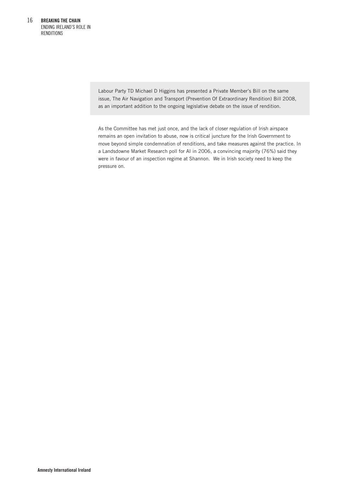Labour Party TD Michael D Higgins has presented a Private Member's Bill on the same issue, The Air Navigation and Transport (Prevention Of Extraordinary Rendition) Bill 2008, as an important addition to the ongoing legislative debate on the issue of rendition.

As the Committee has met just once, and the lack of closer regulation of Irish airspace remains an open invitation to abuse, now is critical juncture for the Irish Government to move beyond simple condemnation of renditions, and take measures against the practice. In a Landsdowne Market Research poll for AI in 2006, a convincing majority (76%) said they were in favour of an inspection regime at Shannon. We in Irish society need to keep the pressure on.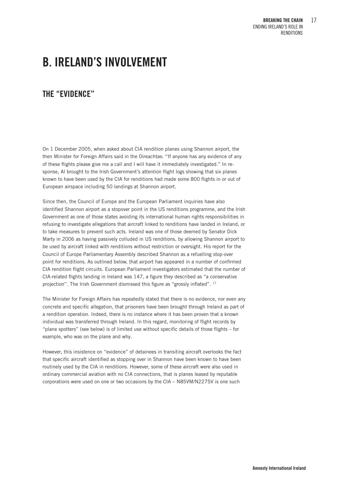## B. IRELAND'S INVOLVEMENT

## THE "FVIDENCE"

On 1 December 2005, when asked about CIA rendition planes using Shannon airport, the then Minister for Foreign Affairs said in the Oireachtas: "If anyone has any evidence of any of these flights please give me a call and I will have it immediately investigated." In response, Al brought to the Irish Government's attention flight logs showing that six planes known to have been used by the CIA for renditions had made some 800 flights in or out of European airspace including 50 landings at Shannon airport.

Since then, the Council of Europe and the European Parliament inquiries have also identified Shannon airport as a stopover point in the US renditions programme, and the Irish Government as one of those states avoiding its international human rights responsibilities in refusing to investigate allegations that aircraft linked to renditions have landed in Ireland, or to take measures to prevent such acts. Ireland was one of those deemed by Senator Dick Marty in 2006 as having passively colluded in US renditions, by allowing Shannon airport to be used by aircraft linked with renditions without restriction or oversight. His report for the Council of Europe Parliamentary Assembly described Shannon as a refuelling stop-over point for renditions. As outlined below, that airport has appeared in a number of confirmed CIA rendition flight circuits. European Parliament investigators estimated that the number of CIA-related flights landing in Ireland was 147, a figure they described as "a conservative projection". The Irish Government dismissed this figure as "grossly inflated". <sup>17</sup>

The Minister for Foreign Affairs has repeatedly stated that there is no evidence, nor even any concrete and specific allegation, that prisoners have been brought through Ireland as part of a rendition operation. Indeed, there is no instance where it has been proven that a known individual was transferred through Ireland. In this regard, monitoring of flight records by "plane spotters" (see below) is of limited use without specific details of those flights – for example, who was on the plane and why.

However, this insistence on "evidence" of detainees in transiting aircraft overlooks the fact that specific aircraft identified as stopping over in Shannon have been known to have been routinely used by the CIA in renditions. However, some of these aircraft were also used in ordinary commercial aviation with no CIA connections, that is planes leased by reputable corporations were used on one or two occasions by the CIA – N85VM/N227SV is one such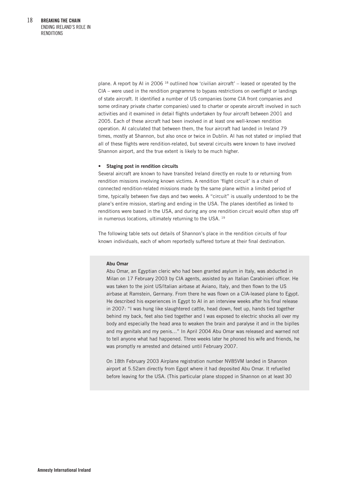plane. A report by AI in 2006  $18$  outlined how 'civilian aircraft' – leased or operated by the CIA – were used in the rendition programme to bypass restrictions on overflight or landings of state aircraft. It identified a number of US companies (some CIA front companies and some ordinary private charter companies) used to charter or operate aircraft involved in such activities and it examined in detail flights undertaken by four aircraft between 2001 and 2005. Each of these aircraft had been involved in at least one well-known rendition operation. AI calculated that between them, the four aircraft had landed in Ireland 79 times, mostly at Shannon, but also once or twice in Dublin. AI has not stated or implied that all of these flights were rendition-related, but several circuits were known to have involved Shannon airport, and the true extent is likely to be much higher.

#### • Staging post in rendition circuits

Several aircraft are known to have transited Ireland directly en route to or returning from rendition missions involving known victims. A rendition 'flight circuit' is a chain of connected rendition-related missions made by the same plane within a limited period of time, typically between five days and two weeks. A "circuit" is usually understood to be the plane's entire mission, starting and ending in the USA. The planes identified as linked to renditions were based in the USA, and during any one rendition circuit would often stop off in numerous locations, ultimately returning to the USA.<sup>19</sup>

The following table sets out details of Shannon's place in the rendition circuits of four known individuals, each of whom reportedly suffered torture at their final destination.

#### Abu Omar

Abu Omar, an Egyptian cleric who had been granted asylum in Italy, was abducted in Milan on 17 February 2003 by CIA agents, assisted by an Italian Carabinieri officer. He was taken to the joint US/Italian airbase at Aviano, Italy, and then flown to the US airbase at Ramstein, Germany. From there he was flown on a CIA-leased plane to Egypt. He described his experiences in Egypt to AI in an interview weeks after his final release in 2007: "I was hung like slaughtered cattle, head down, feet up, hands tied together behind my back, feet also tied together and I was exposed to electric shocks all over my body and especially the head area to weaken the brain and paralyse it and in the biplles and my genitals and my penis…" In April 2004 Abu Omar was released and warned not to tell anyone what had happened. Three weeks later he phoned his wife and friends, he was promptly re arrested and detained until February 2007.

On 18th February 2003 Airplane registration number NV85VM landed in Shannon airport at 5.52am directly from Egypt where it had deposited Abu Omar. It refuelled before leaving for the USA. (This particular plane stopped in Shannon on at least 30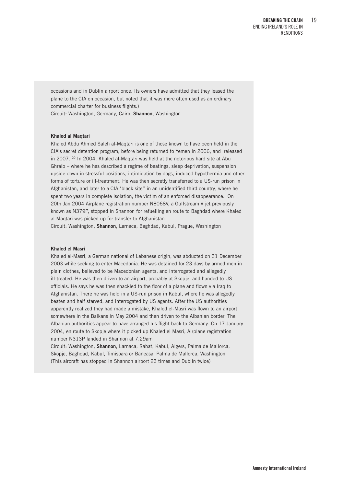occasions and in Dublin airport once. Its owners have admitted that they leased the plane to the CIA on occasion, but noted that it was more often used as an ordinary commercial charter for business flights.)

Circuit: Washington, Germany, Cairo, Shannon, Washington

#### Khaled al Maqtari

Khaled Abdu Ahmed Saleh al-Maqtari is one of those known to have been held in the CIA's secret detention program, before being returned to Yemen in 2006, and released in 2007. <sup>20</sup> In 2004, Khaled al-Maqtari was held at the notorious hard site at Abu Ghraib – where he has described a regime of beatings, sleep deprivation, suspension upside down in stressful positions, intimidation by dogs, induced hypothermia and other forms of torture or ill-treatment. He was then secretly transferred to a US-run prison in Afghanistan, and later to a CIA "black site" in an unidentified third country, where he spent two years in complete isolation, the victim of an enforced disappearance. On 20th Jan 2004 Airplane registration number N8068V, a Gulfstream V jet previously known as N379P, stopped in Shannon for refuelling en route to Baghdad where Khaled al Maqtari was picked up for transfer to Afghanistan.

Circuit: Washington, Shannon, Larnaca, Baghdad, Kabul, Prague, Washington

#### Khaled el Masri

Khaled el-Masri, a German national of Lebanese origin, was abducted on 31 December 2003 while seeking to enter Macedonia. He was detained for 23 days by armed men in plain clothes, believed to be Macedonian agents, and interrogated and allegedly ill-treated. He was then driven to an airport, probably at Skopje, and handed to US officials. He says he was then shackled to the floor of a plane and flown via Iraq to Afghanistan. There he was held in a US-run prison in Kabul, where he was allegedly beaten and half starved, and interrogated by US agents. After the US authorities apparently realized they had made a mistake, Khaled el-Masri was flown to an airport somewhere in the Balkans in May 2004 and then driven to the Albanian border. The Albanian authorities appear to have arranged his flight back to Germany. On 17 January 2004, en route to Skopje where it picked up Khaled el Masri, Airplane registration number N313P landed in Shannon at 7.29am

Circuit: Washington, Shannon, Larnaca, Rabat, Kabul, Algers, Palma de Mallorca, Skopje, Baghdad, Kabul, Timisoara or Baneasa, Palma de Mallorca, Washington (This aircraft has stopped in Shannon airport 23 times and Dublin twice)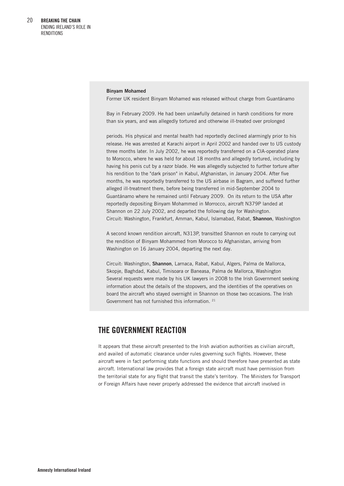#### Binyam Mohamed

Former UK resident Binyam Mohamed was released without charge from Guantánamo

Bay in February 2009. He had been unlawfully detained in harsh conditions for more than six years, and was allegedly tortured and otherwise ill-treated over prolonged

periods. His physical and mental health had reportedly declined alarmingly prior to his release. He was arrested at Karachi airport in April 2002 and handed over to US custody three months later. In July 2002, he was reportedly transferred on a CIA-operated plane to Morocco, where he was held for about 18 months and allegedly tortured, including by having his penis cut by a razor blade. He was allegedly subjected to further torture after his rendition to the "dark prison" in Kabul, Afghanistan, in January 2004. After five months, he was reportedly transferred to the US airbase in Bagram, and suffered further alleged ill-treatment there, before being transferred in mid-September 2004 to Guantánamo where he remained until February 2009. On its return to the USA after reportedly depositing Binyam Mohammed in Morrocco, aircraft N379P landed at Shannon on 22 July 2002, and departed the following day for Washington. Circuit: Washington, Frankfurt, Amman, Kabul, Islamabad, Rabat, Shannon, Washington

A second known rendition aircraft, N313P, transitted Shannon en route to carrying out the rendition of Binyam Mohammed from Morocco to Afghanistan, arriving from Washington on 16 January 2004, departing the next day.

Circuit: Washington, Shannon, Larnaca, Rabat, Kabul, Algers, Palma de Mallorca, Skopje, Baghdad, Kabul, Timisoara or Baneasa, Palma de Mallorca, Washington Several requests were made by his UK lawyers in 2008 to the Irish Government seeking information about the details of the stopovers, and the identities of the operatives on board the aircraft who stayed overnight in Shannon on those two occasions. The Irish Government has not furnished this information.<sup>21</sup>

## THE GOVERNMENT REACTION

It appears that these aircraft presented to the Irish aviation authorities as civilian aircraft, and availed of automatic clearance under rules governing such flights. However, these aircraft were in fact performing state functions and should therefore have presented as state aircraft. International law provides that a foreign state aircraft must have permission from the territorial state for any flight that transit the state's territory. The Ministers for Transport or Foreign Affairs have never properly addressed the evidence that aircraft involved in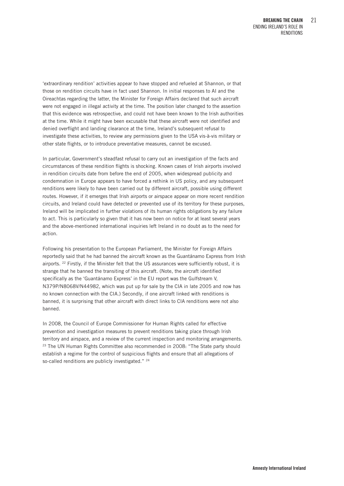'extraordinary rendition' activities appear to have stopped and refueled at Shannon, or that those on rendition circuits have in fact used Shannon. In initial responses to AI and the Oireachtas regarding the latter, the Minister for Foreign Affairs declared that such aircraft were not engaged in illegal activity at the time. The position later changed to the assertion that this evidence was retrospective, and could not have been known to the Irish authorities at the time. While it might have been excusable that these aircraft were not identified and denied overflight and landing clearance at the time, Ireland's subsequent refusal to investigate these activities, to review any permissions given to the USA vis-à-vis military or other state flights, or to introduce preventative measures, cannot be excused.

In particular, Government's steadfast refusal to carry out an investigation of the facts and circumstances of these rendition flights is shocking. Known cases of Irish airports involved in rendition circuits date from before the end of 2005, when widespread publicity and condemnation in Europe appears to have forced a rethink in US policy, and any subsequent renditions were likely to have been carried out by different aircraft, possible using different routes. However, if it emerges that Irish airports or airspace appear on more recent rendition circuits, and Ireland could have detected or prevented use of its territory for these purposes, Ireland will be implicated in further violations of its human rights obligations by any failure to act. This is particularly so given that it has now been on notice for at least several years and the above-mentioned international inquiries left Ireland in no doubt as to the need for action.

Following his presentation to the European Parliament, the Minister for Foreign Affairs reportedly said that he had banned the aircraft known as the Guantánamo Express from Irish airports. <sup>22</sup> Firstly, if the Minister felt that the US assurances were sufficiently robust, it is strange that he banned the transiting of this aircraft. (Note, the aircraft identified specifically as the 'Guantánamo Express' in the EU report was the Gulfstream V, N379P/N8068V/N44982, which was put up for sale by the CIA in late 2005 and now has no known connection with the CIA.) Secondly, if one aircraft linked with renditions is banned, it is surprising that other aircraft with direct links to CIA renditions were not also banned.

In 2008, the Council of Europe Commissioner for Human Rights called for effective prevention and investigation measures to prevent renditions taking place through Irish territory and airspace, and a review of the current inspection and monitoring arrangements.  $23$  The UN Human Rights Committee also recommended in 2008: "The State party should establish a regime for the control of suspicious flights and ensure that all allegations of so-called renditions are publicly investigated." <sup>24</sup>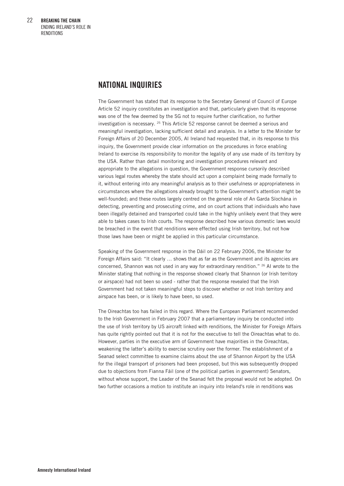## NATIONAL INQUIRIES

The Government has stated that its response to the Secretary General of Council of Europe Article 52 inquiry constitutes an investigation and that, particularly given that its response was one of the few deemed by the SG not to require further clarification, no further investigation is necessary. <sup>25</sup> This Article 52 response cannot be deemed a serious and meaningful investigation, lacking sufficient detail and analysis. In a letter to the Minister for Foreign Affairs of 20 December 2005, AI Ireland had requested that, in its response to this inquiry, the Government provide clear information on the procedures in force enabling Ireland to exercise its responsibility to monitor the legality of any use made of its territory by the USA. Rather than detail monitoring and investigation procedures relevant and appropriate to the allegations in question, the Government response cursorily described various legal routes whereby the state should act upon a complaint being made formally to it, without entering into any meaningful analysis as to their usefulness or appropriateness in circumstances where the allegations already brought to the Government's attention might be well-founded; and these routes largely centred on the general role of An Garda Síochána in detecting, preventing and prosecuting crime, and on court actions that individuals who have been illegally detained and transported could take in the highly unlikely event that they were able to takes cases to Irish courts. The response described how various domestic laws would be breached in the event that renditions were effected using Irish territory, but not how those laws have been or might be applied in this particular circumstance.

Speaking of the Government response in the Dáil on 22 February 2006, the Minister for Foreign Affairs said: "It clearly … shows that as far as the Government and its agencies are concerned, Shannon was not used in any way for extraordinary rendition." <sup>26</sup> AI wrote to the Minister stating that nothing in the response showed clearly that Shannon (or Irish territory or airspace) had not been so used - rather that the response revealed that the Irish Government had not taken meaningful steps to discover whether or not Irish territory and airspace has been, or is likely to have been, so used.

The Oireachtas too has failed in this regard. Where the European Parliament recommended to the Irish Government in February 2007 that a parliamentary inquiry be conducted into the use of Irish territory by US aircraft linked with renditions, the Minister for Foreign Affairs has quite rightly pointed out that it is not for the executive to tell the Oireachtas what to do. However, parties in the executive arm of Government have majorities in the Oireachtas, weakening the latter's ability to exercise scrutiny over the former. The establishment of a Seanad select committee to examine claims about the use of Shannon Airport by the USA for the illegal transport of prisoners had been proposed, but this was subsequently dropped due to objections from Fianna Fáil (one of the political parties in government) Senators, without whose support, the Leader of the Seanad felt the proposal would not be adopted. On two further occasions a motion to institute an inquiry into Ireland's role in renditions was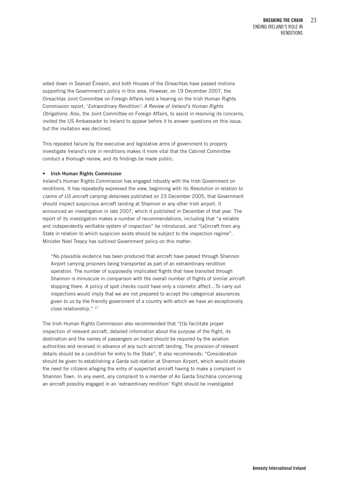voted down in Seanad Éireann, and both Houses of the Oireachtas have passed motions supporting the Government's policy in this area. However, on 19 December 2007, the Oireachtas Joint Committee on Foreign Affairs held a hearing on the Irish Human Rights Commission report, 'Extraordinary Rendition': A Review of Ireland's Human Rights Obligations. Also, the Joint Committee on Foreign Affairs, to assist in resolving its concerns, invited the US Ambassador to Ireland to appear before it to answer questions on this issue, but the invitation was declined.

This repeated failure by the executive and legislative arms of government to properly investigate Ireland's role in renditions makes it more vital that the Cabinet Committee conduct a thorough review, and its findings be made public.

### • Irish Human Rights Commission

Ireland's Human Rights Commission has engaged robustly with the Irish Government on renditions. It has repeatedly expressed the view, beginning with its Resolution in relation to claims of US aircraft carrying detainees published on 23 December 2005, that Government should inspect suspicious aircraft landing at Shannon or any other Irish airport. It announced an investigation in late 2007, which it published in December of that year. The report of its investigation makes a number of recommendations, including that "a reliable and independently verifiable system of inspection" be introduced, and "[a]ircraft from any State in relation to which suspicion exists should be subject to the inspection regime". Minister Noel Treacy has outlined Government policy on this matter:

"No plausible evidence has been produced that aircraft have passed through Shannon Airport carrying prisoners being transported as part of an extraordinary rendition operation. The number of supposedly implicated flights that have transited through Shannon is minuscule in comparison with the overall number of flights of similar aircraft stopping there. A policy of spot checks could have only a cosmetic affect…To carry out inspections would imply that we are not prepared to accept the categorical assurances given to us by the friendly government of a country with which we have an exceptionally close relationship." <sup>27</sup>

The Irish Human Rights Commission also recommended that "[t]o facilitate proper inspection of relevant aircraft, detailed information about the purpose of the flight, its destination and the names of passengers on board should be required by the aviation authorities and received in advance of any such aircraft landing. The provision of relevant details should be a condition for entry to the State". It also recommends: "Consideration should be given to establishing a Garda sub-station at Shannon Airport, which would obviate the need for citizens alleging the entry of suspected aircraft having to make a complaint in Shannon Town. In any event, any complaint to a member of An Garda Síochána concerning an aircraft possibly engaged in an 'extraordinary rendition' flight should be investigated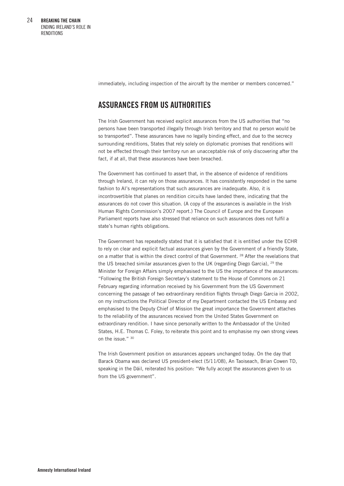immediately, including inspection of the aircraft by the member or members concerned."

## ASSURANCES FROM US AUTHORITIES

The Irish Government has received explicit assurances from the US authorities that "no persons have been transported illegally through Irish territory and that no person would be so transported". These assurances have no legally binding effect, and due to the secrecy surrounding renditions, States that rely solely on diplomatic promises that renditions will not be effected through their territory run an unacceptable risk of only discovering after the fact, if at all, that these assurances have been breached.

The Government has continued to assert that, in the absence of evidence of renditions through Ireland, it can rely on those assurances. It has consistently responded in the same fashion to AI's representations that such assurances are inadequate. Also, it is incontrovertible that planes on rendition circuits have landed there, indicating that the assurances do not cover this situation. (A copy of the assurances is available in the Irish Human Rights Commission's 2007 report.) The Council of Europe and the European Parliament reports have also stressed that reliance on such assurances does not fulfil a state's human rights obligations.

The Government has repeatedly stated that it is satisfied that it is entitled under the ECHR to rely on clear and explicit factual assurances given by the Government of a friendly State, on a matter that is within the direct control of that Government. <sup>28</sup> After the revelations that the US breached similar assurances given to the UK (regarding Diego Garcia), <sup>29</sup> the Minister for Foreign Affairs simply emphasised to the US the importance of the assurances: "Following the British Foreign Secretary's statement to the House of Commons on 21 February regarding information received by his Government from the US Government concerning the passage of two extraordinary rendition flights through Diego Garcia in 2002, on my instructions the Political Director of my Department contacted the US Embassy and emphasised to the Deputy Chief of Mission the great importance the Government attaches to the reliability of the assurances received from the United States Government on extraordinary rendition. I have since personally written to the Ambassador of the United States, H.E. Thomas C. Foley, to reiterate this point and to emphasise my own strong views on the issue." <sup>30</sup>

The Irish Government position on assurances appears unchanged today. On the day that Barack Obama was declared US president-elect (5/11/08), An Taoiseach, Brian Cowen TD, speaking in the Dáil, reiterated his position: "We fully accept the assurances given to us from the US government".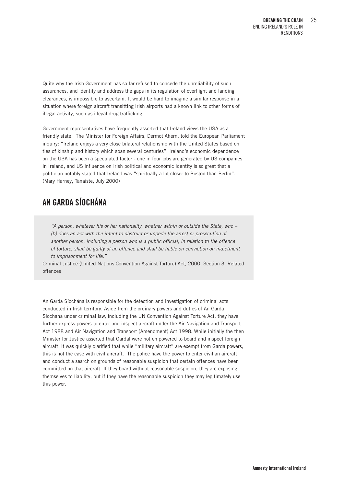Quite why the Irish Government has so far refused to concede the unreliability of such assurances, and identify and address the gaps in its regulation of overflight and landing clearances, is impossible to ascertain. It would be hard to imagine a similar response in a situation where foreign aircraft transitting Irish airports had a known link to other forms of illegal activity, such as illegal drug trafficking.

Government representatives have frequently asserted that Ireland views the USA as a friendly state. The Minister for Foreign Affairs, Dermot Ahern, told the European Parliament inquiry: "Ireland enjoys a very close bilateral relationship with the United States based on ties of kinship and history which span several centuries". Ireland's economic dependence on the USA has been a speculated factor - one in four jobs are generated by US companies in Ireland, and US influence on Irish political and economic identity is so great that a politician notably stated that Ireland was "spiritually a lot closer to Boston than Berlin". (Mary Harney, Tanaiste, July 2000)

## AN GARDA SÍOCHÁNA

"A person, whatever his or her nationality, whether within or outside the State, who – (b) does an act with the intent to obstruct or impede the arrest or prosecution of another person, including a person who is a public official, in relation to the offence of torture, shall be guilty of an offence and shall be liable on conviction on indictment to imprisonment for life."

Criminal Justice (United Nations Convention Against Torture) Act, 2000, Section 3. Related offences

An Garda Síochána is responsible for the detection and investigation of criminal acts conducted in Irish territory. Aside from the ordinary powers and duties of An Garda Siochana under criminal law, including the UN Convention Against Torture Act, they have further express powers to enter and inspect aircraft under the Air Navigation and Transport Act 1988 and Air Navigation and Transport (Amendment) Act 1998. While initially the then Minister for Justice asserted that Gardaí were not empowered to board and inspect foreign aircraft, it was quickly clarified that while "military aircraft" are exempt from Garda powers, this is not the case with civil aircraft. The police have the power to enter civilian aircraft and conduct a search on grounds of reasonable suspicion that certain offences have been committed on that aircraft. If they board without reasonable suspicion, they are exposing themselves to liability, but if they have the reasonable suspicion they may legitimately use this power.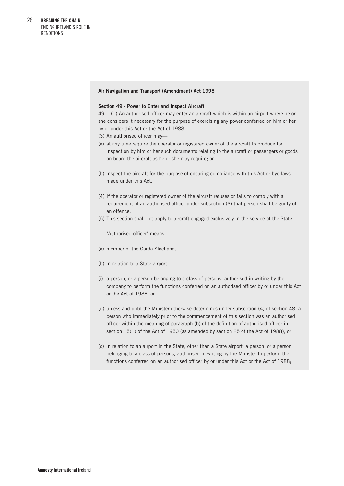### Air Navigation and Transport (Amendment) Act 1998

#### Section 49 - Power to Enter and Inspect Aircraft

49.—(1) An authorised officer may enter an aircraft which is within an airport where he or she considers it necessary for the purpose of exercising any power conferred on him or her by or under this Act or the Act of 1988.

- (3) An authorised officer may—
- (a) at any time require the operator or registered owner of the aircraft to produce for inspection by him or her such documents relating to the aircraft or passengers or goods on board the aircraft as he or she may require; or
- (b) inspect the aircraft for the purpose of ensuring compliance with this Act or bye-laws made under this Act.
- (4) If the operator or registered owner of the aircraft refuses or fails to comply with a requirement of an authorised officer under subsection (3) that person shall be guilty of an offence.
- (5) This section shall not apply to aircraft engaged exclusively in the service of the State

"Authorised officer" means—

- (a) member of the Garda Síochána,
- (b) in relation to a State airport—
- (i) a person, or a person belonging to a class of persons, authorised in writing by the company to perform the functions conferred on an authorised officer by or under this Act or the Act of 1988, or
- (ii) unless and until the Minister otherwise determines under subsection (4) of section 48, a person who immediately prior to the commencement of this section was an authorised officer within the meaning of paragraph (b) of the definition of authorised officer in section 15(1) of the Act of 1950 (as amended by section 25 of the Act of 1988), or
- (c) in relation to an airport in the State, other than a State airport, a person, or a person belonging to a class of persons, authorised in writing by the Minister to perform the functions conferred on an authorised officer by or under this Act or the Act of 1988;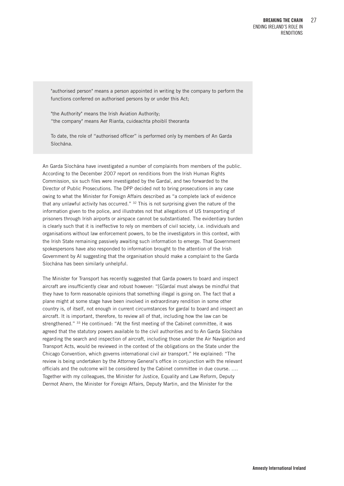"authorised person" means a person appointed in writing by the company to perform the functions conferred on authorised persons by or under this Act;

"the Authority" means the Irish Aviation Authority; "the company" means Aer Rianta, cuideachta phoiblí theoranta

To date, the role of "authorised officer" is performed only by members of An Garda Síochána.

An Garda Síochána have investigated a number of complaints from members of the public. According to the December 2007 report on renditions from the Irish Human Rights Commission, six such files were investigated by the Gardaí, and two forwarded to the Director of Public Prosecutions. The DPP decided not to bring prosecutions in any case owing to what the Minister for Foreign Affairs described as "a complete lack of evidence that any unlawful activity has occurred." <sup>32</sup> This is not surprising given the nature of the information given to the police, and illustrates not that allegations of US transporting of prisoners through Irish airports or airspace cannot be substantiated. The evidentiary burden is clearly such that it is ineffective to rely on members of civil society, i.e. individuals and organisations without law enforcement powers, to be the investigators in this context, with the Irish State remaining passively awaiting such information to emerge. That Government spokespersons have also responded to information brought to the attention of the Irish Government by AI suggesting that the organisation should make a complaint to the Garda Síochána has been similarly unhelpful.

The Minister for Transport has recently suggested that Garda powers to board and inspect aircraft are insufficiently clear and robust however: "[G]ardaí must always be mindful that they have to form reasonable opinions that something illegal is going on. The fact that a plane might at some stage have been involved in extraordinary rendition in some other country is, of itself, not enough in current circumstances for gardaí to board and inspect an aircraft. It is important, therefore, to review all of that, including how the law can be strengthened." <sup>33</sup> He continued: "At the first meeting of the Cabinet committee, it was agreed that the statutory powers available to the civil authorities and to An Garda Síochána regarding the search and inspection of aircraft, including those under the Air Navigation and Transport Acts, would be reviewed in the context of the obligations on the State under the Chicago Convention, which governs international civil air transport." He explained: "The review is being undertaken by the Attorney General's office in conjunction with the relevant officials and the outcome will be considered by the Cabinet committee in due course. …. Together with my colleagues, the Minister for Justice, Equality and Law Reform, Deputy Dermot Ahern, the Minister for Foreign Affairs, Deputy Martin, and the Minister for the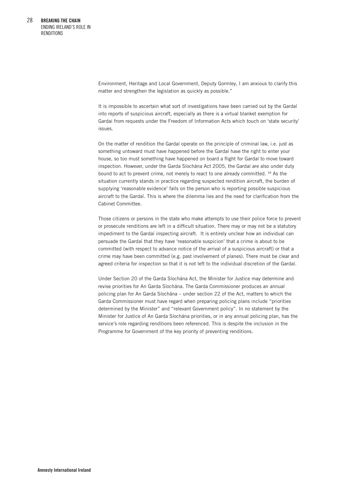Environment, Heritage and Local Government, Deputy Gormley, I am anxious to clarify this matter and strengthen the legislation as quickly as possible."

It is impossible to ascertain what sort of investigations have been carried out by the Gardaí into reports of suspicious aircraft, especially as there is a virtual blanket exemption for Gardai from requests under the Freedom of Information Acts which touch on 'state security' issues.

On the matter of rendition the Gardaí operate on the principle of criminal law, i.e. just as something untoward must have happened before the Gardaí have the right to enter your house, so too must something have happened on board a flight for Gardaí to move toward inspection. However, under the Garda Síochána Act 2005, the Gardaí are also under duty bound to act to prevent crime, not merely to react to one already committed. <sup>34</sup> As the situation currently stands in practice regarding suspected rendition aircraft, the burden of supplying 'reasonable evidence' falls on the person who is reporting possible suspicious aircraft to the Gardaí. This is where the dilemma lies and the need for clarification from the Cabinet Committee.

Those citizens or persons in the state who make attempts to use their police force to prevent or prosecute renditions are left in a difficult situation. There may or may not be a statutory impediment to the Gardaí inspecting aircraft. It is entirely unclear how an individual can persuade the Gardaí that they have 'reasonable suspicion' that a crime is about to be committed (with respect to advance notice of the arrival of a suspicious aircraft) or that a crime may have been committed (e.g. past involvement of planes). There must be clear and agreed criteria for inspection so that it is not left to the individual discretion of the Gardaí.

Under Section 20 of the Garda Síochána Act, the Minister for Justice may determine and revise priorities for An Garda Síochána. The Garda Commissioner produces an annual policing plan for An Garda Síochána – under section 22 of the Act, matters to which the Garda Commissioner must have regard when preparing policing plans include "priorities determined by the Minister" and "relevant Government policy". In no statement by the Minister for Justice of An Garda Síochána priorities, or in any annual policing plan, has the service's role regarding renditions been referenced. This is despite the inclusion in the Programme for Government of the key priority of preventing renditions.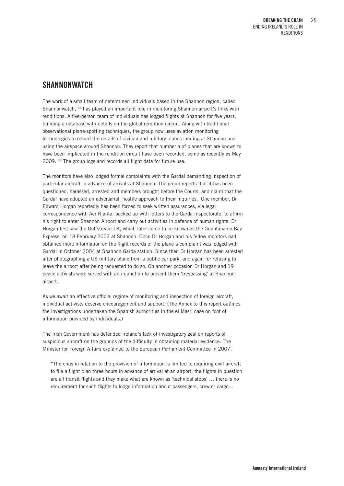## **SHANNONWATCH**

The work of a small team of determined individuals based in the Shannon region, called Shannonwatch, <sup>35</sup> has played an important role in monitoring Shannon airport's links with renditions. A five-person team of individuals has logged flights at Shannon for five years, building a database with details on the global rendition circuit. Along with traditional observational plane-spotting techniques, the group now uses aviation monitoring technologies to record the details of civilian and military planes landing at Shannon and using the airspace around Shannon. They report that number a of planes that are known to have been implicated in the rendition circuit have been recorded, some as recently as May 2009. <sup>36</sup> The group logs and records all flight data for future use.

The monitors have also lodged formal complaints with the Gardaí demanding inspection of particular aircraft in advance of arrivals at Shannon. The group reports that it has been questioned, harassed, arrested and members brought before the Courts, and claim that the Gardaí have adopted an adversarial, hostile approach to their inquiries. One member, Dr Edward Horgan reportedly has been forced to seek written assurances, via legal correspondence with Aer Rianta, backed up with letters to the Garda Inspectorate, to affirm his right to enter Shannon Airport and carry out activities in defence of human rights. Dr Horgan first saw the Gulfstream Jet, which later came to be known as the Guantánamo Bay Express, on 18 February 2003 at Shannon. Once Dr Horgan and his fellow monitors had obtained more information on the flight records of the plane a complaint was lodged with Gardai in October 2004 at Shannon Garda station. Since then Dr Horgan has been arrested after photographing a US military plane from a public car park, and again for refusing to leave the airport after being requested to do so. On another occasion Dr Horgan and 19 peace activists were served with an injunction to prevent them 'trespassing' at Shannon airport.

As we await an effective official regime of monitoring and inspection of foreign aircraft, individual activists deserve encouragement and support. (The Annex to this report outlines the investigations undertaken the Spanish authorities in the el Masri case on foot of information provided by individuals.)

The Irish Government has defended Ireland's lack of investigatory zeal on reports of suspicious aircraft on the grounds of the difficulty in obtaining material evidence. The Minister for Foreign Affairs explained to the European Parliament Committee in 2007:

"The onus in relation to the provision of information is limited to requiring civil aircraft to file a flight plan three hours in advance of arrival at an airport, the flights in question are all transit flights and they make what are known as 'technical stops' … there is no requirement for such flights to lodge information about passengers, crew or cargo…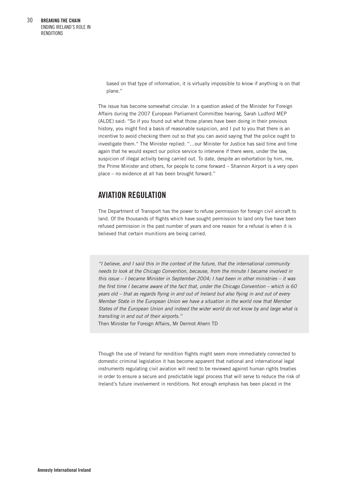based on that type of information, it is virtually impossible to know if anything is on that plane."

The issue has become somewhat circular. In a question asked of the Minister for Foreign Affairs during the 2007 European Parliament Committee hearing, Sarah Ludford MEP (ALDE) said: "So if you found out what those planes have been doing in their previous history, you might find a basis of reasonable suspicion, and I put to you that there is an incentive to avoid checking them out so that you can avoid saying that the police ought to investigate them." The Minister replied: "…our Minister for Justice has said time and time again that he would expect our police service to intervene if there were, under the law, suspicion of illegal activity being carried out. To date, despite an exhortation by him, me, the Prime Minister and others, for people to come forward – Shannon Airport is a very open place – no evidence at all has been brought forward."

## AVIATION REGULATION

The Department of Transport has the power to refuse permission for foreign civil aircraft to land. Of the thousands of flights which have sought permission to land only five have been refused permission in the past number of years and one reason for a refusal is when it is believed that certain munitions are being carried.

"I believe, and I said this in the context of the future, that the international community needs to look at the Chicago Convention, because, from the minute I became involved in this issue – I became Minister in September 2004; I had been in other ministries – it was the first time I became aware of the fact that, under the Chicago Convention – which is 60 years old – that as regards flying in and out of Ireland but also flying in and out of every Member State in the European Union we have a situation in the world now that Member States of the European Union and indeed the wider world do not know by and large what is transiting in and out of their airports."

Then Minister for Foreign Affairs, Mr Dermot Ahern TD

Though the use of Ireland for rendition flights might seem more immediately connected to domestic criminal legislation it has become apparent that national and international legal instruments regulating civil aviation will need to be reviewed against human rights treaties in order to ensure a secure and predictable legal process that will serve to reduce the risk of Ireland's future involvement in renditions. Not enough emphasis has been placed in the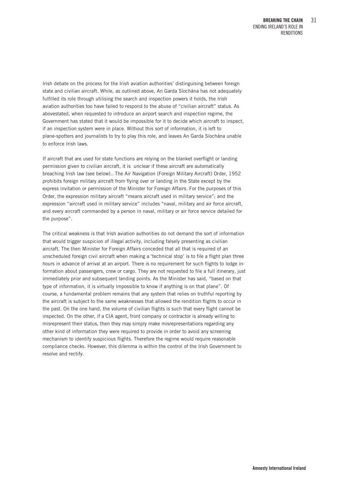Irish debate on the process for the Irish aviation authorities' distinguising between foreign state and civilian aircraft. While, as outlined above, An Garda Síochána has not adequately fulfilled its role through utilising the search and inspection powers it holds, the Irish aviation authorities too have failed to respond to the abuse of "civilian aircraft" status. As abovestated, when requested to introduce an airport search and inspection regime, the Government has stated that it would be impossible for it to decide which aircraft to inspect, if an inspection system were in place. Without this sort of information, it is left to plane-spotters and journalists to try to play this role, and leaves An Garda Síochána unable to enforce Irish laws.

If aircraft that are used for state functions are relying on the blanket overflight or landing permission given to civilian aircraft, it is unclear if these aircraft are automatically breaching Irish law (see below).. The Air Navigation (Foreign Military Aircraft) Order, 1952 prohibits foreign military aircraft from flying over or landing in the State except by the express invitation or permission of the Minister for Foreign Affairs. For the purposes of this Order, the expression military aircraft "means aircraft used in military service"; and the expression "aircraft used in military service" includes "naval, military and air force aircraft, and every aircraft commanded by a person in naval, military or air force service detailed for the purpose".

The critical weakness is that Irish aviation authorities do not demand the sort of information that would trigger suspicion of illegal activity, including falsely presenting as civilian aircraft. The then Minister for Foreign Affairs conceded that all that is required of an unscheduled foreign civil aircraft when making a 'technical stop' is to file a flight plan three hours in advance of arrival at an airport. There is no requirement for such flights to lodge information about passengers, crew or cargo. They are not requested to file a full itinerary, just immediately prior and subsequent landing points. As the Minister has said, "based on that type of information, it is virtually impossible to know if anything is on that plane". Of course, a fundamental problem remains that any system that relies on truthful reporting by the aircraft is subject to the same weaknesses that allowed the rendition flights to occur in the past. On the one hand, the volume of civilian flights is such that every flight cannot be inspected. On the other, if a CIA agent, front company or contractor is already willing to misrepresent their status, then they may simply make misrepresentations regarding any other kind of information they were required to provide in order to avoid any screening mechanism to identify suspicious flights. Therefore the regime would require reasonable compliance checks. However, this dilemma is within the control of the Irish Government to resolve and rectify.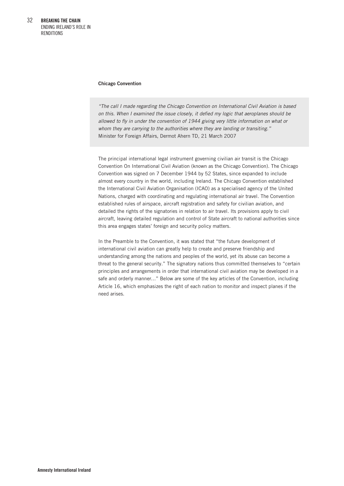#### Chicago Convention

"The call I made regarding the Chicago Convention on International Civil Aviation is based on this. When I examined the issue closely, it defied my logic that aeroplanes should be allowed to fly in under the convention of 1944 giving very little information on what or whom they are carrying to the authorities where they are landing or transiting." Minister for Foreign Affairs, Dermot Ahern TD, 21 March 2007

The principal international legal instrument governing civilian air transit is the Chicago Convention On International Civil Aviation (known as the Chicago Convention). The Chicago Convention was signed on 7 December 1944 by 52 States, since expanded to include almost every country in the world, including Ireland. The Chicago Convention established the International Civil Aviation Organisation (ICAO) as a specialised agency of the United Nations, charged with coordinating and regulating international air travel. The Convention established rules of airspace, aircraft registration and safety for civilian aviation, and detailed the rights of the signatories in relation to air travel. Its provisions apply to civil aircraft, leaving detailed regulation and control of State aircraft to national authorities since this area engages states' foreign and security policy matters.

In the Preamble to the Convention, it was stated that "the future development of international civil aviation can greatly help to create and preserve friendship and understanding among the nations and peoples of the world, yet its abuse can become a threat to the general security." The signatory nations thus committed themselves to "certain principles and arrangements in order that international civil aviation may be developed in a safe and orderly manner…" Below are some of the key articles of the Convention, including Article 16, which emphasizes the right of each nation to monitor and inspect planes if the need arises.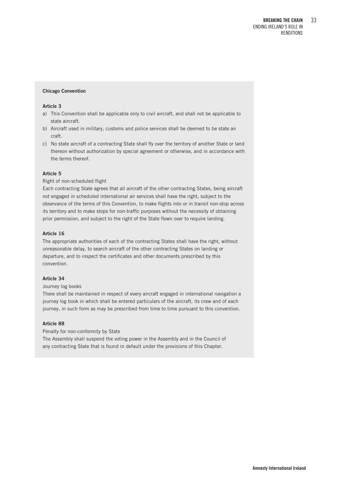### Chicago Convention

### Article 3

- a) This Convention shall be applicable only to civil aircraft, and shall not be applicable to state aircraft.
- b) Aircraft used in military, customs and police services shall be deemed to be state air craft.
- c) No state aircraft of a contracting State shall fly over the territory of another State or land thereon without authorization by special agreement or otherwise, and in accordance with the terms thereof.

### Article 5

Right of non-scheduled flight

Each contracting State agrees that all aircraft of the other contracting States, being aircraft not engaged in scheduled international air services shall have the right, subject to the observance of the terms of this Convention, to make flights into or in transit non-stop across its territory and to make stops for non-traffic purposes without the necessity of obtaining prior permission, and subject to the right of the State flown over to require landing.

### Article 16

The appropriate authorities of each of the contracting States shall have the right, without unreasonable delay, to search aircraft of the other contracting States on landing or departure, and to inspect the certificates and other documents prescribed by this convention.

#### Article 34

#### Journey log books

There shall be maintained in respect of every aircraft engaged in international navigation a journey log book in which shall be entered particulars of the aircraft, its crew and of each journey, in such form as may be prescribed from time to time pursuant to this convention.

#### Article 88

Penalty for non-conformity by State

The Assembly shall suspend the voting power in the Assembly and in the Council of any contracting State that is found in default under the provisions of this Chapter.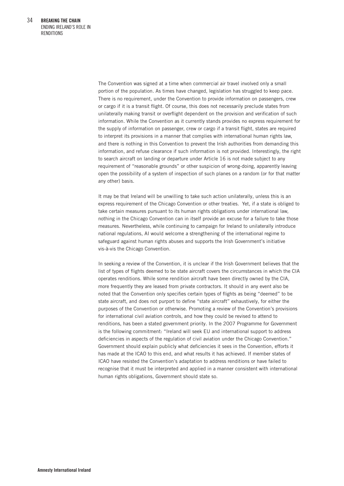The Convention was signed at a time when commercial air travel involved only a small portion of the population. As times have changed, legislation has struggled to keep pace. There is no requirement, under the Convention to provide information on passengers, crew or cargo if it is a transit flight. Of course, this does not necessarily preclude states from unilaterally making transit or overflight dependent on the provision and verification of such information. While the Convention as it currently stands provides no express requirement for the supply of information on passenger, crew or cargo if a transit flight, states are required to interpret its provisions in a manner that complies with international human rights law, and there is nothing in this Convention to prevent the Irish authorities from demanding this information, and refuse clearance if such information is not provided. Interestingly, the right to search aircraft on landing or departure under Article 16 is not made subject to any requirement of "reasonable grounds" or other suspicion of wrong-doing, apparently leaving open the possibility of a system of inspection of such planes on a random (or for that matter any other) basis.

It may be that Ireland will be unwilling to take such action unilaterally, unless this is an express requirement of the Chicago Convention or other treaties. Yet, if a state is obliged to take certain measures pursuant to its human rights obligations under international law, nothing in the Chicago Convention can in itself provide an excuse for a failure to take those measures. Nevertheless, while continuing to campaign for Ireland to unilaterally introduce national regulations, AI would welcome a strengthening of the international regime to safeguard against human rights abuses and supports the Irish Government's initiative vis-à-vis the Chicago Convention.

In seeking a review of the Convention, it is unclear if the Irish Government believes that the list of types of flights deemed to be state aircraft covers the circumstances in which the CIA operates renditions. While some rendition aircraft have been directly owned by the CIA, more frequently they are leased from private contractors. It should in any event also be noted that the Convention only specifies certain types of flights as being "deemed" to be state aircraft, and does not purport to define "state aircraft" exhaustively, for either the purposes of the Convention or otherwise. Promoting a review of the Convention's provisions for international civil aviation controls, and how they could be revised to attend to renditions, has been a stated government priority. In the 2007 Programme for Government is the following commitment: "Ireland will seek EU and international support to address deficiencies in aspects of the regulation of civil aviation under the Chicago Convention." Government should explain publicly what deficiencies it sees in the Convention, efforts it has made at the ICAO to this end, and what results it has achieved. If member states of ICAO have resisted the Convention's adaptation to address renditions or have failed to recognise that it must be interpreted and applied in a manner consistent with international human rights obligations, Government should state so.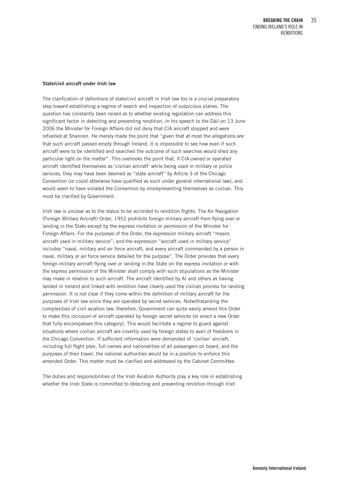#### State/civil aircraft under Irish law

The clarification of definitions of state/civil aircraft in Irish law too is a crucial preparatory step toward establishing a regime of search and inspection of suspicious planes. The question has constantly been raised as to whether existing legislation can address this significant factor in detecting and preventing rendition. In his speech to the Dáil on 13 June 2006 the Minister for Foreign Affairs did not deny that CIA aircraft stopped and were refuelled at Shannon. He merely made the point that "given that at most the allegations are that such aircraft passed empty through Ireland, it is impossible to see how even if such aircraft were to be identified and searched the outcome of such searches would shed any particular light on the matter". This overlooks the point that, if CIA-owned or operated aircraft identified themselves as 'civilian aircraft' while being used in military or police services, they may have been deemed as "state aircraft" by Article 3 of the Chicago Convention (or could otherwise have qualified as such under general international law), and would seem to have violated the Convention by misrepresenting themselves as civilian. This must be clarified by Government.

Irish law is unclear as to the status to be accorded to rendition flights. The Air Navigation (Foreign Military Aircraft) Order, 1952 prohibits foreign military aircraft from flying over or landing in the State except by the express invitation or permission of the Minister for Foreign Affairs. For the purposes of the Order, the expression military aircraft "means aircraft used in military service"; and the expression "aircraft used in military service" includes "naval, military and air force aircraft, and every aircraft commanded by a person in naval, military or air force service detailed for the purpose". The Order provides that every foreign military aircraft flying over or landing in the State on the express invitation or with the express permission of the Minister shall comply with such stipulations as the Minister may make in relation to such aircraft. The aircraft identified by AI and others as having landed in Ireland and linked with rendition have clearly used the civilian process for landing permission. It is not clear if they come within the definition of military aircraft for the purposes of Irish law since they are operated by secret services. Notwithstanding the complexities of civil aviation law, therefore, Government can quite easily amend this Order to make this inclusion of aircraft operated by foreign secret services (or enact a new Order that fully encompasses this category). This would facilitate a regime to guard against situations where civilian aircraft are covertly used by foreign states to avail of freedoms in the Chicago Convention. If sufficient information were demanded of 'civilian' aircraft, including full flight plan, full names and nationalities of all passengers on board, and the purposes of their travel, the national authorities would be in a position to enforce this amended Order. This matter must be clarified and addressed by the Cabinet Committee.

The duties and responsibilities of the Irish Aviation Authority play a key role in establishing whether the Irish State is committed to detecting and preventing rendition through Irish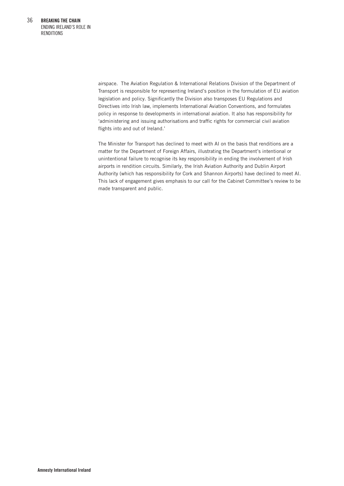airspace. The Aviation Regulation & International Relations Division of the Department of Transport is responsible for representing Ireland's position in the formulation of EU aviation legislation and policy. Significantly the Division also transposes EU Regulations and Directives into Irish law, implements International Aviation Conventions, and formulates policy in response to developments in international aviation. It also has responsibility for 'administering and issuing authorisations and traffic rights for commercial civil aviation flights into and out of Ireland.'

The Minister for Transport has declined to meet with AI on the basis that renditions are a matter for the Department of Foreign Affairs, illustrating the Department's intentional or unintentional failure to recognise its key responsibility in ending the involvement of Irish airports in rendition circuits. Similarly, the Irish Aviation Authority and Dublin Airport Authority (which has responsibility for Cork and Shannon Airports) have declined to meet AI. This lack of engagement gives emphasis to our call for the Cabinet Committee's review to be made transparent and public.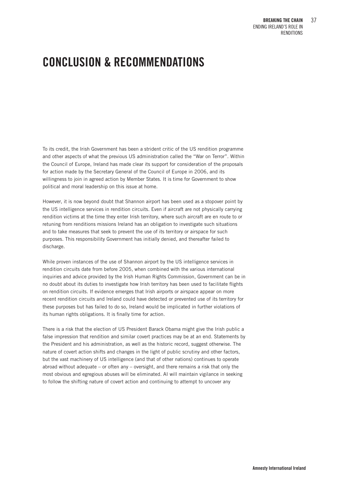## CONCLUSION & RECOMMENDATIONS

To its credit, the Irish Government has been a strident critic of the US rendition programme and other aspects of what the previous US administration called the "War on Terror". Within the Council of Europe, Ireland has made clear its support for consideration of the proposals for action made by the Secretary General of the Council of Europe in 2006, and its willingness to join in agreed action by Member States. It is time for Government to show political and moral leadership on this issue at home.

However, it is now beyond doubt that Shannon airport has been used as a stopover point by the US intelligence services in rendition circuits. Even if aircraft are not physically carrying rendition victims at the time they enter Irish territory, where such aircraft are en route to or retuning from renditions missions Ireland has an obligation to investigate such situations and to take measures that seek to prevent the use of its territory or airspace for such purposes. This responsibility Government has initially denied, and thereafter failed to discharge.

While proven instances of the use of Shannon airport by the US intelligence services in rendition circuits date from before 2005, when combined with the various international inquiries and advice provided by the Irish Human Rights Commission, Government can be in no doubt about its duties to investigate how Irish territory has been used to facilitate flights on rendition circuits. If evidence emerges that Irish airports or airspace appear on more recent rendition circuits and Ireland could have detected or prevented use of its territory for these purposes but has failed to do so, Ireland would be implicated in further violations of its human rights obligations. It is finally time for action.

There is a risk that the election of US President Barack Obama might give the Irish public a false impression that rendition and similar covert practices may be at an end. Statements by the President and his administration, as well as the historic record, suggest otherwise. The nature of covert action shifts and changes in the light of public scrutiny and other factors, but the vast machinery of US intelligence (and that of other nations) continues to operate abroad without adequate – or often any – oversight, and there remains a risk that only the most obvious and egregious abuses will be eliminated. AI will maintain vigilance in seeking to follow the shifting nature of covert action and continuing to attempt to uncover any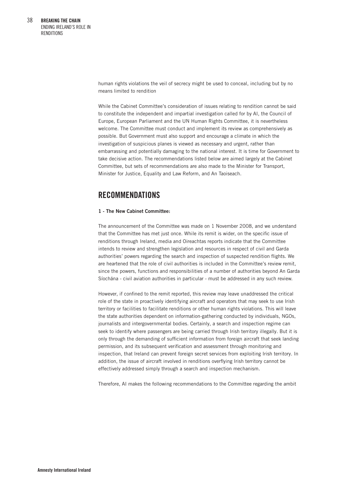human rights violations the veil of secrecy might be used to conceal, including but by no means limited to rendition

While the Cabinet Committee's consideration of issues relating to rendition cannot be said to constitute the independent and impartial investigation called for by AI, the Council of Europe, European Parliament and the UN Human Rights Committee, it is nevertheless welcome. The Committee must conduct and implement its review as comprehensively as possible. But Government must also support and encourage a climate in which the investigation of suspicious planes is viewed as necessary and urgent, rather than embarrassing and potentially damaging to the national interest. It is time for Government to take decisive action. The recommendations listed below are aimed largely at the Cabinet Committee, but sets of recommendations are also made to the Minister for Transport, Minister for Justice, Equality and Law Reform, and An Taoiseach.

## RECOMMENDATIONS

### 1 - The New Cabinet Committee:

The announcement of the Committee was made on 1 November 2008, and we understand that the Committee has met just once. While its remit is wider, on the specific issue of renditions through Ireland, media and Oireachtas reports indicate that the Committee intends to review and strengthen legislation and resources in respect of civil and Garda authorities' powers regarding the search and inspection of suspected rendition flights. We are heartened that the role of civil authorities is included in the Committee's review remit, since the powers, functions and responsibilities of a number of authorities beyond An Garda Síochána - civil aviation authorities in particular - must be addressed in any such review.

However, if confined to the remit reported, this review may leave unaddressed the critical role of the state in proactively identifying aircraft and operators that may seek to use Irish territory or facilities to facilitate renditions or other human rights violations. This will leave the state authorities dependent on information-gathering conducted by individuals, NGOs, journalists and intergovernmental bodies. Certainly, a search and inspection regime can seek to identify where passengers are being carried through Irish territory illegally. But it is only through the demanding of sufficient information from foreign aircraft that seek landing permission, and its subsequent verification and assessment through monitoring and inspection, that Ireland can prevent foreign secret services from exploiting Irish territory. In addition, the issue of aircraft involved in renditions overflying Irish territory cannot be effectively addressed simply through a search and inspection mechanism.

Therefore, AI makes the following recommendations to the Committee regarding the ambit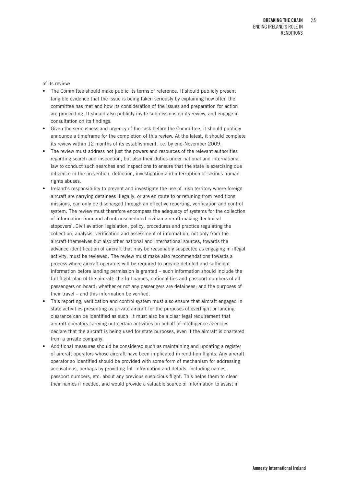of its review:

- The Committee should make public its terms of reference. It should publicly present tangible evidence that the issue is being taken seriously by explaining how often the committee has met and how its consideration of the issues and preparation for action are proceeding. It should also publicly invite submissions on its review, and engage in consultation on its findings.
- Given the seriousness and urgency of the task before the Committee, it should publicly announce a timeframe for the completion of this review. At the latest, it should complete its review within 12 months of its establishment, i.e. by end-November 2009.
- The review must address not just the powers and resources of the relevant authorities regarding search and inspection, but also their duties under national and international law to conduct such searches and inspections to ensure that the state is exercising due diligence in the prevention, detection, investigation and interruption of serious human rights abuses.
- Ireland's responsibility to prevent and investigate the use of Irish territory where foreign aircraft are carrying detainees illegally, or are en route to or retuning from renditions missions, can only be discharged through an effective reporting, verification and control system. The review must therefore encompass the adequacy of systems for the collection of information from and about unscheduled civilian aircraft making 'technical stopovers'. Civil aviation legislation, policy, procedures and practice regulating the collection, analysis, verification and assessment of information, not only from the aircraft themselves but also other national and international sources, towards the advance identification of aircraft that may be reasonably suspected as engaging in illegal activity, must be reviewed. The review must make also recommendations towards a process where aircraft operators will be required to provide detailed and sufficient information before landing permission is granted – such information should include the full flight plan of the aircraft; the full names, nationalities and passport numbers of all passengers on board; whether or not any passengers are detainees; and the purposes of their travel – and this information be verified.
- This reporting, verification and control system must also ensure that aircraft engaged in state activities presenting as private aircraft for the purposes of overflight or landing clearance can be identified as such. It must also be a clear legal requirement that aircraft operators carrying out certain activities on behalf of intelligence agencies declare that the aircraft is being used for state purposes, even if the aircraft is chartered from a private company.
- Additional measures should be considered such as maintaining and updating a register of aircraft operators whose aircraft have been implicated in rendition flights. Any aircraft operator so identified should be provided with some form of mechanism for addressing accusations, perhaps by providing full information and details, including names, passport numbers, etc. about any previous suspicious flight. This helps them to clear their names if needed, and would provide a valuable source of information to assist in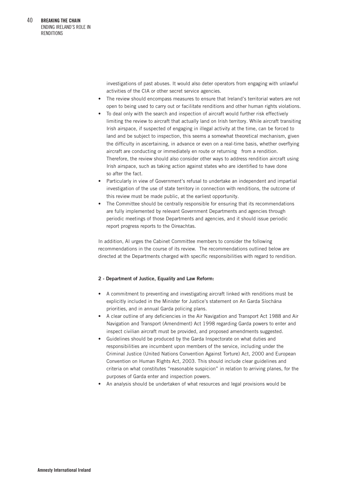investigations of past abuses. It would also deter operators from engaging with unlawful activities of the CIA or other secret service agencies.

- The review should encompass measures to ensure that Ireland's territorial waters are not open to being used to carry out or facilitate renditions and other human rights violations.
- To deal only with the search and inspection of aircraft would further risk effectively limiting the review to aircraft that actually land on Irish territory. While aircraft transiting Irish airspace, if suspected of engaging in illegal activity at the time, can be forced to land and be subject to inspection, this seems a somewhat theoretical mechanism, given the difficulty in ascertaining, in advance or even on a real-time basis, whether overflying aircraft are conducting or immediately en route or returning from a rendition. Therefore, the review should also consider other ways to address rendition aircraft using Irish airspace, such as taking action against states who are identified to have done so after the fact.
- Particularly in view of Government's refusal to undertake an independent and impartial investigation of the use of state territory in connection with renditions, the outcome of this review must be made public, at the earliest opportunity.
- The Committee should be centrally responsible for ensuring that its recommendations are fully implemented by relevant Government Departments and agencies through periodic meetings of those Departments and agencies, and it should issue periodic report progress reports to the Oireachtas.

In addition, AI urges the Cabinet Committee members to consider the following recommendations in the course of its review. The recommendations outlined below are directed at the Departments charged with specific responsibilities with regard to rendition.

#### 2 - Department of Justice, Equality and Law Reform:

- A commitment to preventing and investigating aircraft linked with renditions must be explicitly included in the Minister for Justice's statement on An Garda Síochána priorities, and in annual Garda policing plans.
- A clear outline of any deficiencies in the Air Navigation and Transport Act 1988 and Air Navigation and Transport (Amendment) Act 1998 regarding Garda powers to enter and inspect civilian aircraft must be provided, and proposed amendments suggested.
- Guidelines should be produced by the Garda Inspectorate on what duties and responsibilities are incumbent upon members of the service, including under the Criminal Justice (United Nations Convention Against Torture) Act, 2000 and European Convention on Human Rights Act, 2003. This should include clear guidelines and criteria on what constitutes "reasonable suspicion" in relation to arriving planes, for the purposes of Garda enter and inspection powers.
- An analysis should be undertaken of what resources and legal provisions would be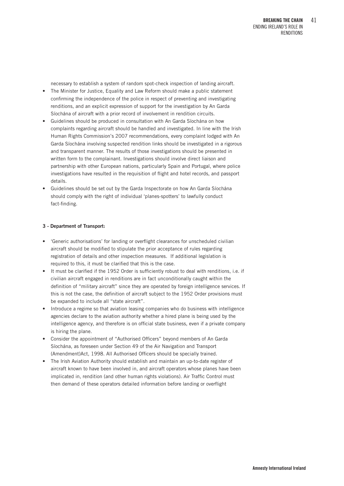necessary to establish a system of random spot-check inspection of landing aircraft.

- The Minister for Justice, Equality and Law Reform should make a public statement confirming the independence of the police in respect of preventing and investigating renditions, and an explicit expression of support for the investigation by An Garda Síochána of aircraft with a prior record of involvement in rendition circuits.
- Guidelines should be produced in consultation with An Garda Síochána on how complaints regarding aircraft should be handled and investigated. In line with the Irish Human Rights Commission's 2007 recommendations, every complaint lodged with An Garda Síochána involving suspected rendition links should be investigated in a rigorous and transparent manner. The results of those investigations should be presented in written form to the complainant. Investigations should involve direct liaison and partnership with other European nations, particularly Spain and Portugal, where police investigations have resulted in the requisition of flight and hotel records, and passport details.
- Guidelines should be set out by the Garda Inspectorate on how An Garda Síochána should comply with the right of individual 'planes-spotters' to lawfully conduct fact-finding.

### 3 - Department of Transport:

- 'Generic authorisations' for landing or overflight clearances for unscheduled civilian aircraft should be modified to stipulate the prior acceptance of rules regarding registration of details and other inspection measures. If additional legislation is required to this, it must be clarified that this is the case.
- It must be clarified if the 1952 Order is sufficiently robust to deal with renditions, i.e. if civilian aircraft engaged in renditions are in fact unconditionally caught within the definition of "military aircraft" since they are operated by foreign intelligence services. If this is not the case, the definition of aircraft subject to the 1952 Order provisions must be expanded to include all "state aircraft".
- Introduce a regime so that aviation leasing companies who do business with intelligence agencies declare to the aviation authority whether a hired plane is being used by the intelligence agency, and therefore is on official state business, even if a private company is hiring the plane.
- Consider the appointment of "Authorised Officers" beyond members of An Garda Síochána, as foreseen under Section 49 of the Air Navigation and Transport (Amendment)Act, 1998. All Authorised Officers should be specially trained.
- The Irish Aviation Authority should establish and maintain an up-to-date register of aircraft known to have been involved in, and aircraft operators whose planes have been implicated in, rendition (and other human rights violations). Air Traffic Control must then demand of these operators detailed information before landing or overflight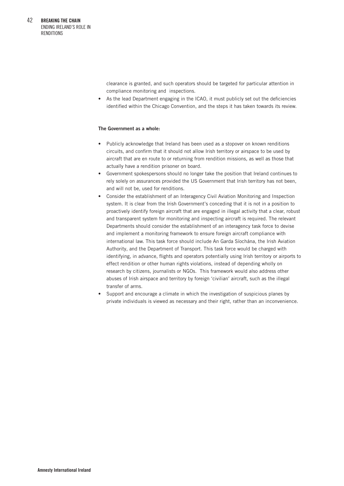clearance is granted, and such operators should be targeted for particular attention in compliance monitoring and inspections.

• As the lead Department engaging in the ICAO, it must publicly set out the deficiencies identified within the Chicago Convention, and the steps it has taken towards its review.

### The Government as a whole:

- Publicly acknowledge that Ireland has been used as a stopover on known renditions circuits, and confirm that it should not allow Irish territory or airspace to be used by aircraft that are en route to or returning from rendition missions, as well as those that actually have a rendition prisoner on board.
- Government spokespersons should no longer take the position that Ireland continues to rely solely on assurances provided the US Government that Irish territory has not been, and will not be, used for renditions.
- Consider the establishment of an Interagency Civil Aviation Monitoring and Inspection system. It is clear from the Irish Government's conceding that it is not in a position to proactively identify foreign aircraft that are engaged in illegal activity that a clear, robust and transparent system for monitoring and inspecting aircraft is required. The relevant Departments should consider the establishment of an interagency task force to devise and implement a monitoring framework to ensure foreign aircraft compliance with international law. This task force should include An Garda Síochána, the Irish Aviation Authority, and the Department of Transport. This task force would be charged with identifying, in advance, flights and operators potentially using Irish territory or airports to effect rendition or other human rights violations, instead of depending wholly on research by citizens, journalists or NGOs. This framework would also address other abuses of Irish airspace and territory by foreign 'civilian' aircraft, such as the illegal transfer of arms.
- Support and encourage a climate in which the investigation of suspicious planes by private individuals is viewed as necessary and their right, rather than an inconvenience.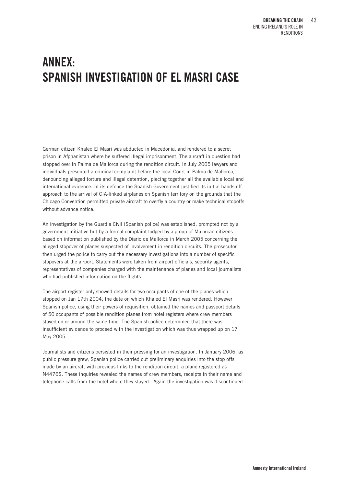## ANNEX: SPANISH INVESTIGATION OF EL MASRI CASE

German citizen Khaled El Masri was abducted in Macedonia, and rendered to a secret prison in Afghanistan where he suffered illegal imprisonment. The aircraft in question had stopped over in Palma de Mallorca during the rendition circuit. In July 2005 lawyers and individuals presented a criminal complaint before the local Court in Palma de Mallorca, denouncing alleged torture and illegal detention, piecing together all the available local and international evidence. In its defence the Spanish Government justified its initial hands-off approach to the arrival of CIA-linked airplanes on Spanish territory on the grounds that the Chicago Convention permitted private aircraft to overfly a country or make technical stopoffs without advance notice.

An investigation by the Guardia Civil (Spanish police) was established, prompted not by a government initiative but by a formal complaint lodged by a group of Majorcan citizens based on information published by the Diario de Mallorca in March 2005 concerning the alleged stopover of planes suspected of involvement in rendition circuits. The prosecutor then urged the police to carry out the necessary investigations into a number of specific stopovers at the airport. Statements were taken from airport officials, security agents, representatives of companies charged with the maintenance of planes and local journalists who had published information on the flights.

The airport register only showed details for two occupants of one of the planes which stopped on Jan 17th 2004, the date on which Khaled El Masri was rendered. However Spanish police, using their powers of requisition, obtained the names and passport details of 50 occupants of possible rendition planes from hotel registers where crew members stayed on or around the same time. The Spanish police determined that there was insufficient evidence to proceed with the investigation which was thus wrapped up on 17 May 2005.

Journalists and citizens persisted in their pressing for an investigation. In January 2006, as public pressure grew, Spanish police carried out preliminary enquiries into the stop offs made by an aircraft with previous links to the rendition circuit, a plane registered as N4476S. These inquiries revealed the names of crew members, receipts in their name and telephone calls from the hotel where they stayed. Again the investigation was discontinued.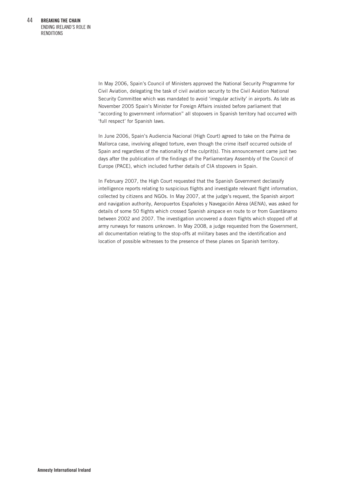In May 2006, Spain's Council of Ministers approved the National Security Programme for Civil Aviation, delegating the task of civil aviation security to the Civil Aviation National Security Committee which was mandated to avoid 'irregular activity' in airports. As late as November 2005 Spain's Minister for Foreign Affairs insisted before parliament that "according to government information" all stopovers in Spanish territory had occurred with 'full respect' for Spanish laws.

In June 2006, Spain's Audiencia Nacional (High Court) agreed to take on the Palma de Mallorca case, involving alleged torture, even though the crime itself occurred outside of Spain and regardless of the nationality of the culprit(s). This announcement came just two days after the publication of the findings of the Parliamentary Assembly of the Council of Europe (PACE), which included further details of CIA stopovers in Spain.

In February 2007, the High Court requested that the Spanish Government declassify intelligence reports relating to suspicious flights and investigate relevant flight information, collected by citizens and NGOs. In May 2007, at the judge's request, the Spanish airport and navigation authority, Aeropuertos Españoles y Navegación Aérea (AENA), was asked for details of some 50 flights which crossed Spanish airspace en route to or from Guantánamo between 2002 and 2007. The investigation uncovered a dozen flights which stopped off at army runways for reasons unknown. In May 2008, a judge requested from the Government, all documentation relating to the stop-offs at military bases and the identification and location of possible witnesses to the presence of these planes on Spanish territory.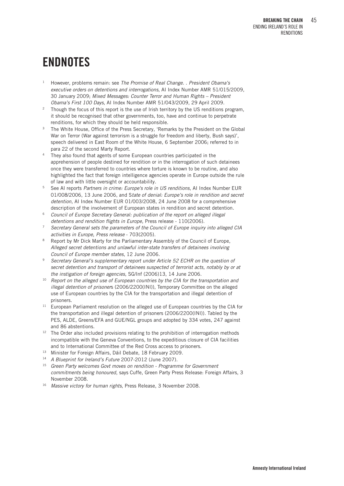## ENDNOTES

- <sup>1</sup> However, problems remain: see The Promise of Real Change. . President Obama's executive orders on detentions and interrogations, AI Index Number AMR 51/015/2009, 30 January 2009; Mixed Messages: Counter Terror and Human Rights – President Obama's First 100 Days, AI Index Number AMR 51/043/2009, 29 April 2009.
- <sup>2</sup> Though the focus of this report is the use of Irish territory by the US renditions program, it should be recognised that other governments, too, have and continue to perpetrate renditions, for which they should be held responsible.
- <sup>3</sup> The White House, Office of the Press Secretary, 'Remarks by the President on the Global War on Terror (War against terrorism is a struggle for freedom and liberty, Bush says)', speech delivered in East Room of the White House, 6 September 2006; referred to in para 22 of the second Marty Report.
- <sup>4</sup> They also found that agents of some European countries participated in the apprehension of people destined for rendition or in the interrogation of such detainees once they were transferred to countries where torture is known to be routine, and also highlighted the fact that foreign intelligence agencies operate in Europe outside the rule of law and with little oversight or accountability.
- <sup>5</sup> See AI reports *Partners in crime: Europe's role in US renditions*, AI Index Number EUR 01/008/2006, 13 June 2006, and State of denial: Europe's role in rendition and secret detention, AI Index Number EUR 01/003/2008, 24 June 2008 for a comprehensive description of the involvement of European states in rendition and secret detention.
- <sup>6</sup> Council of Europe Secretary General: publication of the report on alleged illegal detentions and rendition flights in Europe, Press release - 110(2006).
- <sup>7</sup> Secretary General sets the parameters of the Council of Europe inquiry into alleged CIA activities in Europe, Press release - 703(2005).
- <sup>8</sup> Report by Mr Dick Marty for the Parliamentary Assembly of the Council of Europe, Alleged secret detentions and unlawful inter-state transfers of detainees involving Council of Europe member states, 12 June 2006.
- <sup>9</sup> Secretary General's supplementary report under Article 52 ECHR on the question of secret detention and transport of detainees suspected of terrorist acts, notably by or at the instigation of foreign agencies, SG/Inf (2006)13, 14 June 2006.
- <sup>10</sup> Report on the alleged use of European countries by the CIA for the transportation and illegal detention of prisoners (2006/2200(INI)), Temporary Committee on the alleged use of European countries by the CIA for the transportation and illegal detention of prisoners.
- $11$  European Parliament resolution on the alleged use of European countries by the CIA for the transportation and illegal detention of prisoners (2006/2200(INI)). Tabled by the PES, ALDE, Greens/EFA and GUE/NGL groups and adopted by 334 votes, 247 against and 86 abstentions.
- <sup>12</sup> The Order also included provisions relating to the prohibition of interrogation methods incompatible with the Geneva Conventions, to the expeditious closure of CIA facilities and to International Committee of the Red Cross access to prisoners.
- 13 Minister for Foreign Affairs, Dáil Debate, 18 February 2009.
- <sup>14</sup> A Blueprint for Ireland's Future 2007-2012 (June 2007).
- <sup>15</sup> Green Party welcomes Govt moves on rendition Programme for Government commitments being honoured, says Cuffe, Green Party Press Release: Foreign Affairs, 3 November 2008.
- <sup>16</sup> Massive victory for human rights, Press Release, 3 November 2008.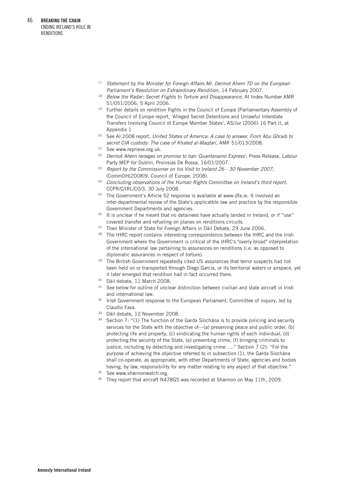- $17$  Statement by the Minister for Foreign Affairs Mr. Dermot Ahern TD on the European Parliament's Resolution on Extraordinary Rendition, 14 February 2007.
- <sup>18</sup> Below the Radar: Secret Flights to Torture and Disappearance, AI Index Number AMR 51/051/2006, 5 April 2006.
- <sup>19</sup> Further details on rendition flights in the Council of Europe (Parliamentary Assembly of the Council of Europe report, 'Alleged Secret Detentions and Unlawful Interstate Transfers Involving Council of Europe Member States', AS/Jur (2006) 16 Part II, at Appendix 1
- <sup>20</sup> See AI 2008 report, United States of America: A case to answer. From Abu Ghraib to secret CIA custody: The case of Khaled al-Magtari, AMR 51/013/2008.
- <sup>21</sup> See www.reprieve.org.uk.
- <sup>22</sup> Dermot Ahern reneges on promise to ban 'Guantanamo Express', Press Release, Labour Party MEP for Dublin, Proinsias De Rossa, 16/01/2007.
- <sup>23</sup> Report by the Commissioner on his Visit to Ireland 26 30 November 2007, (CommDH(2008)9, Council of Europe, 2008).
- $24$  Concluding observations of the Human Rights Committee on Ireland's third report, CCPR/C/IRL/CO/3, 30 July 2008.
- $25$  The Government's Article 52 response is available at www.dfa.ie. It involved an inter-departmental review of the State's applicatble law and practice by the responsible Government Departments and agencies.
- <sup>26</sup> It is unclear if he meant that no detainees have actually landed in Ireland, or if "use" covered transfer and refueling on planes on renditions circuits.
- <sup>27</sup> Then Minister of State for Foreign Affairs in Dáil Debate, 29 June 2006.
- <sup>28</sup> The IHRC report contains interesting correspondence between the IHRC and the Irish Government where the Government is critical of the IHRC's "overly broad" interpretation of the international law pertaining to assurances on renditions (i.e. as opposed to diplomatic assurances in respect of torture).
- <sup>29</sup> The British Government repeatedly cited US assurances that terror suspects had not been held on or transported through Diego Garcia, or its territorial waters or airspace, yet it later emerged that rendition had in fact occurred there.
- <sup>30</sup> Dáil debate, 11 March 2008.
- See below for outline of unclear distinction between civilian and state aircraft in Irish and international law.
- <sup>32</sup> Irish Government response to the European Parliament, Committee of inquiry, led by Claudio Fava.
- <sup>33</sup> Dáil debate, 12 November 2008.
- <sup>34</sup> Section 7: "(1) The function of the Garda Síochána is to provide policing and security services for the State with the objective of—(a) preserving peace and public order, (b) protecting life and property, (c) vindicating the human rights of each individual, (d) protecting the security of the State, (e) preventing crime, (f) bringing criminals to justice, including by detecting and investigating crime …." Section 7 (2): "For the purpose of achieving the objective referred to in subsection (1), the Garda Síochána shall co-operate, as appropriate, with other Departments of State, agencies and bodies having, by law, responsibility for any matter relating to any aspect of that objective."
- <sup>35</sup> See www.shannonwatch.org.
- <sup>36</sup> They report that aircraft N478GS was recorded at Shannon on May 11th, 2009.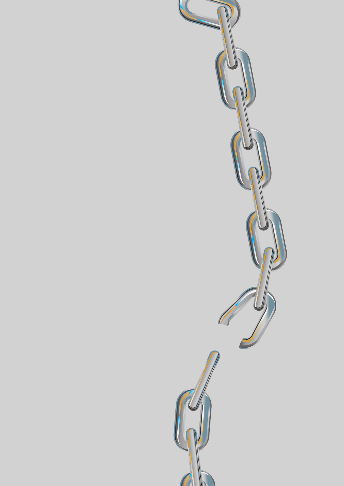